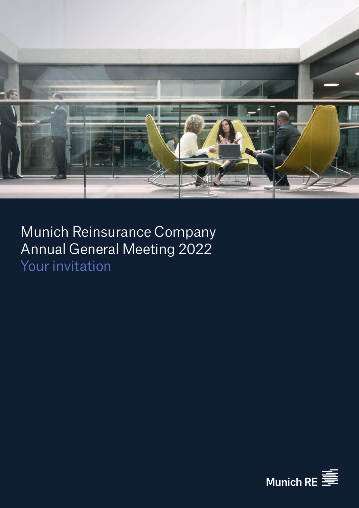

Munich Reinsurance Company Annual General Meeting 2022 Your invitation

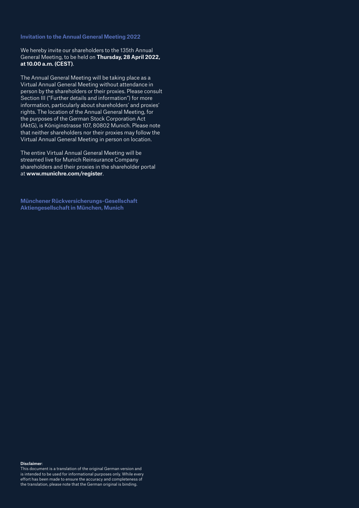**Invitation to the Annual General Meeting 2022**

We hereby invite our shareholders to the 135th Annual General Meeting, to be held on **Thursday, 28 April 2022, at 10.00 a.m. (CEST)**.

The Annual General Meeting will be taking place as a Virtual Annual General Meeting without attendance in person by the shareholders or their proxies. Please consult Section III ("Further details and information") for more information, particularly about shareholders' and proxies' rights. The location of the Annual General Meeting, for the purposes of the German Stock Corporation Act (AktG), is Königinstrasse 107, 80802 Munich. Please note that neither shareholders nor their proxies may follow the Virtual Annual General Meeting in person on location.

The entire Virtual Annual General Meeting will be streamed live for Munich Reinsurance Company shareholders and their proxies in the shareholder portal at **www.munichre.com/register**.

**Münchener Rückversicherungs-Gesellschaft Aktiengesellschaft in München, Munich**

#### **Disclaimer**:

This document is a translation of the original German version and is intended to be used for informational purposes only. While every effort has been made to ensure the accuracy and completeness of the translation, please note that the German original is binding.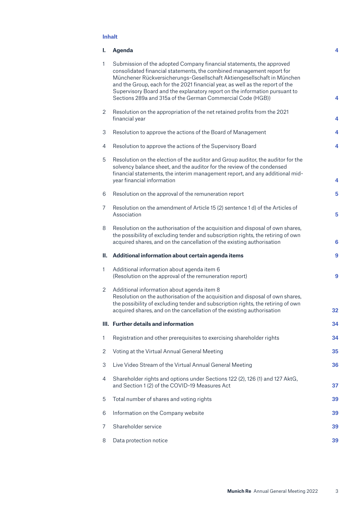# **Inhalt**

| ı.             | Agenda                                                                                                                                                                                                                                                                                                                                                                                                                                                 | 4               |
|----------------|--------------------------------------------------------------------------------------------------------------------------------------------------------------------------------------------------------------------------------------------------------------------------------------------------------------------------------------------------------------------------------------------------------------------------------------------------------|-----------------|
| 1              | Submission of the adopted Company financial statements, the approved<br>consolidated financial statements, the combined management report for<br>Münchener Rückversicherungs-Gesellschaft Aktiengesellschaft in München<br>and the Group, each for the 2021 financial year, as well as the report of the<br>Supervisory Board and the explanatory report on the information pursuant to<br>Sections 289a and 315a of the German Commercial Code (HGB)) | 4               |
| 2              | Resolution on the appropriation of the net retained profits from the 2021<br>financial year                                                                                                                                                                                                                                                                                                                                                            | 4               |
| 3              | Resolution to approve the actions of the Board of Management                                                                                                                                                                                                                                                                                                                                                                                           | 4               |
| 4              | Resolution to approve the actions of the Supervisory Board                                                                                                                                                                                                                                                                                                                                                                                             | 4               |
| 5              | Resolution on the election of the auditor and Group auditor, the auditor for the<br>solvency balance sheet, and the auditor for the review of the condensed<br>financial statements, the interim management report, and any additional mid-<br>year financial information                                                                                                                                                                              | 4               |
| 6              | Resolution on the approval of the remuneration report                                                                                                                                                                                                                                                                                                                                                                                                  | 5               |
| 7              | Resolution on the amendment of Article 15 (2) sentence 1 d) of the Articles of<br>Association                                                                                                                                                                                                                                                                                                                                                          | 5               |
| 8              | Resolution on the authorisation of the acquisition and disposal of own shares,<br>the possibility of excluding tender and subscription rights, the retiring of own<br>acquired shares, and on the cancellation of the existing authorisation                                                                                                                                                                                                           | $6\phantom{1}6$ |
| Ш.             | Additional information about certain agenda items                                                                                                                                                                                                                                                                                                                                                                                                      | 9               |
| 1              | Additional information about agenda item 6<br>(Resolution on the approval of the remuneration report)                                                                                                                                                                                                                                                                                                                                                  | 9               |
| 2              | Additional information about agenda item 8<br>Resolution on the authorisation of the acquisition and disposal of own shares,<br>the possibility of excluding tender and subscription rights, the retiring of own<br>acquired shares, and on the cancellation of the existing authorisation                                                                                                                                                             | 32              |
|                | III. Further details and information                                                                                                                                                                                                                                                                                                                                                                                                                   | 34              |
| 1              | Registration and other prerequisites to exercising shareholder rights                                                                                                                                                                                                                                                                                                                                                                                  | 34              |
| $\overline{2}$ | Voting at the Virtual Annual General Meeting                                                                                                                                                                                                                                                                                                                                                                                                           | 35              |
| 3              | Live Video Stream of the Virtual Annual General Meeting                                                                                                                                                                                                                                                                                                                                                                                                | 36              |
| 4              | Shareholder rights and options under Sections 122 (2), 126 (1) and 127 AktG,<br>and Section 1 (2) of the COVID-19 Measures Act                                                                                                                                                                                                                                                                                                                         | 37              |
| 5              | Total number of shares and voting rights                                                                                                                                                                                                                                                                                                                                                                                                               | 39              |
| 6              | Information on the Company website                                                                                                                                                                                                                                                                                                                                                                                                                     | 39              |
| 7              | Shareholder service                                                                                                                                                                                                                                                                                                                                                                                                                                    | 39              |
| 8              | Data protection notice                                                                                                                                                                                                                                                                                                                                                                                                                                 | 39              |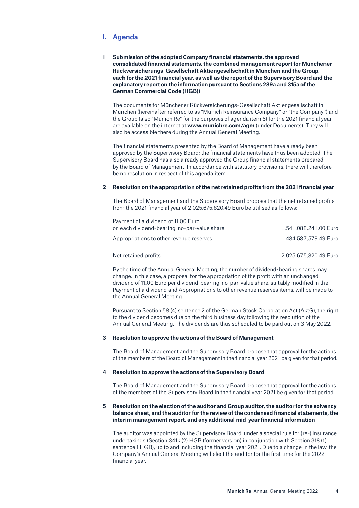# <span id="page-3-0"></span>**I. Agenda**

**1 Submission of the adopted Company financial statements, the approved consolidated financial statements, the combined management report for Münchener Rückversicherungs-Gesellschaft Aktiengesellschaft in München and the Group, each for the 2021 financial year, as well as the report of the Supervisory Board and the explanatory report on the information pursuant to Sections 289a and 315a of the German Commercial Code (HGB))**

The documents for Münchener Rückversicherungs-Gesellschaft Aktiengesellschaft in München (hereinafter referred to as "Munich Reinsurance Company" or "the Company") and the Group (also "Munich Re" for the purposes of agenda item 6) for the 2021 financial year are available on the internet at **www.munichre.com/agm** (under Documents). They will also be accessible there during the Annual General Meeting.

The financial statements presented by the Board of Management have already been approved by the Supervisory Board; the financial statements have thus been adopted. The Supervisory Board has also already approved the Group financial statements prepared by the Board of Management. In accordance with statutory provisions, there will therefore be no resolution in respect of this agenda item.

#### **2 Resolution on the appropriation of the net retained profits from the 2021 financial year**

The Board of Management and the Supervisory Board propose that the net retained profits from the 2021 financial year of 2,025,675,820.49 Euro be utilised as follows:

| Payment of a dividend of 11.00 Euro          |                       |
|----------------------------------------------|-----------------------|
| on each dividend-bearing, no-par-value share | 1,541,088,241.00 Euro |
| Appropriations to other revenue reserves     | 484,587,579,49 Euro   |
| Net retained profits                         | 2.025.675.820.49 Euro |

By the time of the Annual General Meeting, the number of dividend-bearing shares may change. In this case, a proposal for the appropriation of the profit with an unchanged dividend of 11.00 Euro per dividend-bearing, no-par-value share, suitably modified in the Payment of a dividend and Appropriations to other revenue reserves items, will be made to the Annual General Meeting.

Pursuant to Section 58 (4) sentence 2 of the German Stock Corporation Act (AktG), the right to the dividend becomes due on the third business day following the resolution of the Annual General Meeting. The dividends are thus scheduled to be paid out on 3 May 2022.

### **3 Resolution to approve the actions of the Board of Management**

The Board of Management and the Supervisory Board propose that approval for the actions of the members of the Board of Management in the financial year 2021 be given for that period.

### **4 Resolution to approve the actions of the Supervisory Board**

The Board of Management and the Supervisory Board propose that approval for the actions of the members of the Supervisory Board in the financial year 2021 be given for that period.

### **5 Resolution on the election of the auditor and Group auditor, the auditor for the solvency balance sheet, and the auditor for the review of the condensed financial statements, the interim management report, and any additional mid-year financial information**

The auditor was appointed by the Supervisory Board, under a special rule for (re-) insurance undertakings (Section 341k (2) HGB (former version) in conjunction with Section 318 (1) sentence 1 HGB), up to and including the financial year 2021. Due to a change in the law, the Company's Annual General Meeting will elect the auditor for the first time for the 2022 financial year.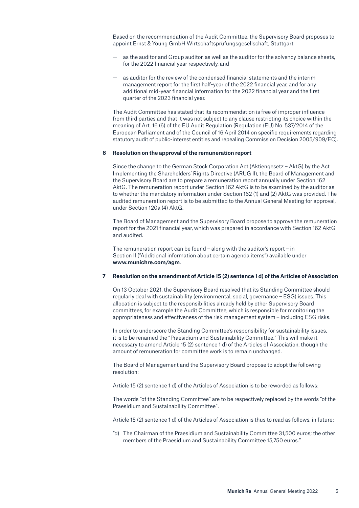<span id="page-4-0"></span>Based on the recommendation of the Audit Committee, the Supervisory Board proposes to appoint Ernst & Young GmbH Wirtschaftsprüfungsgesellschaft, Stuttgart

- as the auditor and Group auditor, as well as the auditor for the solvency balance sheets, for the 2022 financial year respectively, and
- as auditor for the review of the condensed financial statements and the interim management report for the first half-year of the 2022 financial year, and for any additional mid-year financial information for the 2022 financial year and the first quarter of the 2023 financial year.

The Audit Committee has stated that its recommendation is free of improper influence from third parties and that it was not subject to any clause restricting its choice within the meaning of Art. 16 (6) of the EU Audit Regulation (Regulation (EU) No. 537/2014 of the European Parliament and of the Council of 16 April 2014 on specific requirements regarding statutory audit of public-interest entities and repealing Commission Decision 2005/909/EC).

#### **6 Resolution on the approval of the remuneration report**

Since the change to the German Stock Corporation Act (Aktiengesetz – AktG) by the Act Implementing the Shareholders' Rights Directive (ARUG II), the Board of Management and the Supervisory Board are to prepare a remuneration report annually under Section 162 AktG. The remuneration report under Section 162 AktG is to be examined by the auditor as to whether the mandatory information under Section 162 (1) and (2) AktG was provided. The audited remuneration report is to be submitted to the Annual General Meeting for approval, under Section 120a (4) AktG.

The Board of Management and the Supervisory Board propose to approve the remuneration report for the 2021 financial year, which was prepared in accordance with Section 162 AktG and audited.

The remuneration report can be found – along with the auditor's report – in Section II ("Additional information about certain agenda items") available under **www.munichre.com/agm**.

### **7 Resolution on the amendment of Article 15 (2) sentence 1 d) of the Articles of Association**

On 13 October 2021, the Supervisory Board resolved that its Standing Committee should regularly deal with sustainability (environmental, social, governance – ESG) issues. This allocation is subject to the responsibilities already held by other Supervisory Board committees, for example the Audit Committee, which is responsible for monitoring the appropriateness and effectiveness of the risk management system – including ESG risks.

In order to underscore the Standing Committee's responsibility for sustainability issues, it is to be renamed the "Praesidium and Sustainability Committee." This will make it necessary to amend Article 15 (2) sentence 1 d) of the Articles of Association, though the amount of remuneration for committee work is to remain unchanged.

The Board of Management and the Supervisory Board propose to adopt the following resolution:

Article 15 (2) sentence 1 d) of the Articles of Association is to be reworded as follows:

The words "of the Standing Committee" are to be respectively replaced by the words "of the Praesidium and Sustainability Committee".

Article 15 (2) sentence 1 d) of the Articles of Association is thus to read as follows, in future:

"d) The Chairman of the Praesidium and Sustainability Committee 31,500 euros; the other members of the Praesidium and Sustainability Committee 15,750 euros."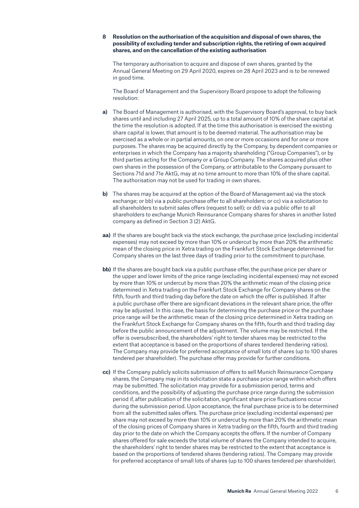### <span id="page-5-0"></span>**8 Resolution on the authorisation of the acquisition and disposal of own shares, the possibility of excluding tender and subscription rights, the retiring of own acquired shares, and on the cancellation of the existing authorisation**

The temporary authorisation to acquire and dispose of own shares, granted by the Annual General Meeting on 29 April 2020, expires on 28 April 2023 and is to be renewed in good time.

The Board of Management and the Supervisory Board propose to adopt the following resolution:

- **a)** The Board of Management is authorised, with the Supervisory Board's approval, to buy back shares until and including 27 April 2025, up to a total amount of 10% of the share capital at the time the resolution is adopted. If at the time this authorisation is exercised the existing share capital is lower, that amount is to be deemed material. The authorisation may be exercised as a whole or in partial amounts, on one or more occasions and for one or more purposes. The shares may be acquired directly by the Company, by dependent companies or enterprises in which the Company has a majority shareholding ("Group Companies"), or by third parties acting for the Company or a Group Company. The shares acquired plus other own shares in the possession of the Company, or attributable to the Company pursuant to Sections 71d and 71e AktG, may at no time amount to more than 10% of the share capital. The authorisation may not be used for trading in own shares.
- **b)** The shares may be acquired at the option of the Board of Management aa) via the stock exchange; or bb) via a public purchase offer to all shareholders; or cc) via a solicitation to all shareholders to submit sales offers (request to sell); or dd) via a public offer to all shareholders to exchange Munich Reinsurance Company shares for shares in another listed company as defined in Section 3 (2) AktG.
- **aa)** If the shares are bought back via the stock exchange, the purchase price (excluding incidental expenses) may not exceed by more than 10% or undercut by more than 20% the arithmetic mean of the closing price in Xetra trading on the Frankfurt Stock Exchange determined for Company shares on the last three days of trading prior to the commitment to purchase.
- **bb)** If the shares are bought back via a public purchase offer, the purchase price per share or the upper and lower limits of the price range (excluding incidental expenses) may not exceed by more than 10% or undercut by more than 20% the arithmetic mean of the closing price determined in Xetra trading on the Frankfurt Stock Exchange for Company shares on the fifth, fourth and third trading day before the date on which the offer is published. If after a public purchase offer there are significant deviations in the relevant share price, the offer may be adjusted. In this case, the basis for determining the purchase price or the purchase price range will be the arithmetic mean of the closing price determined in Xetra trading on the Frankfurt Stock Exchange for Company shares on the fifth, fourth and third trading day before the public announcement of the adjustment. The volume may be restricted. If the offer is oversubscribed, the shareholders' right to tender shares may be restricted to the extent that acceptance is based on the proportions of shares tendered (tendering ratios). The Company may provide for preferred acceptance of small lots of shares (up to 100 shares tendered per shareholder). The purchase offer may provide for further conditions.
- **cc)** If the Company publicly solicits submission of offers to sell Munich Reinsurance Company shares, the Company may in its solicitation state a purchase price range within which offers may be submitted. The solicitation may provide for a submission period, terms and conditions, and the possibility of adjusting the purchase price range during the submission period if, after publication of the solicitation, significant share price fluctuations occur during the submission period. Upon acceptance, the final purchase price is to be determined from all the submitted sales offers. The purchase price (excluding incidental expenses) per share may not exceed by more than 10% or undercut by more than 20% the arithmetic mean of the closing prices of Company shares in Xetra trading on the fifth, fourth and third trading day prior to the date on which the Company accepts the offers. If the number of Company shares offered for sale exceeds the total volume of shares the Company intended to acquire, the shareholders' right to tender shares may be restricted to the extent that acceptance is based on the proportions of tendered shares (tendering ratios). The Company may provide for preferred acceptance of small lots of shares (up to 100 shares tendered per shareholder).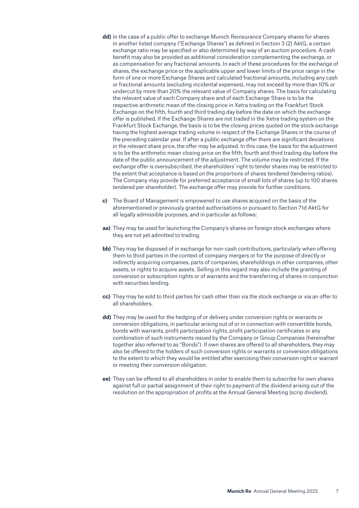- **dd)** In the case of a public offer to exchange Munich Reinsurance Company shares for shares in another listed company ("Exchange Shares") as defined in Section 3 (2) AktG, a certain exchange ratio may be specified or also determined by way of an auction procedure. A cash benefit may also be provided as additional consideration complementing the exchange, or as compensation for any fractional amounts. In each of these procedures for the exchange of shares, the exchange price or the applicable upper and lower limits of the price range in the form of one or more Exchange Shares and calculated fractional amounts, including any cash or fractional amounts (excluding incidental expenses), may not exceed by more than 10% or undercut by more than 20% the relevant value of Company shares. The basis for calculating the relevant value of each Company share and of each Exchange Share is to be the respective arithmetic mean of the closing price in Xetra trading on the Frankfurt Stock Exchange on the fifth, fourth and third trading day before the date on which the exchange offer is published. If the Exchange Shares are not traded in the Xetra trading system on the Frankfurt Stock Exchange, the basis is to be the closing prices quoted on the stock exchange having the highest average trading volume in respect of the Exchange Shares in the course of the preceding calendar year. If after a public exchange offer there are significant deviations in the relevant share price, the offer may be adjusted. In this case, the basis for the adjustment is to be the arithmetic mean closing price on the fifth, fourth and third trading day before the date of the public announcement of the adjustment. The volume may be restricted. If the exchange offer is oversubscribed, the shareholders' right to tender shares may be restricted to the extent that acceptance is based on the proportions of shares tendered (tendering ratios). The Company may provide for preferred acceptance of small lots of shares (up to 100 shares tendered per shareholder). The exchange offer may provide for further conditions.
- **c)** The Board of Management is empowered to use shares acquired on the basis of the aforementioned or previously granted authorisations or pursuant to Section 71d AktG for all legally admissible purposes, and in particular as follows:
- **aa)** They may be used for launching the Company's shares on foreign stock exchanges where they are not yet admitted to trading.
- **bb)** They may be disposed of in exchange for non-cash contributions, particularly when offering them to third parties in the context of company mergers or for the purpose of directly or indirectly acquiring companies, parts of companies, shareholdings in other companies, other assets, or rights to acquire assets. Selling in this regard may also include the granting of conversion or subscription rights or of warrants and the transferring of shares in conjunction with securities lending.
- **cc)** They may be sold to third parties for cash other than via the stock exchange or via an offer to all shareholders.
- **dd)** They may be used for the hedging of or delivery under conversion rights or warrants or conversion obligations, in particular arising out of or in connection with convertible bonds, bonds with warrants, profit participation rights, profit participation certificates or any combination of such instruments issued by the Company or Group Companies (hereinafter together also referred to as "Bonds"). If own shares are offered to all shareholders, they may also be offered to the holders of such conversion rights or warrants or conversion obligations to the extent to which they would be entitled after exercising their conversion right or warrant or meeting their conversion obligation.
- **ee)** They can be offered to all shareholders in order to enable them to subscribe for own shares against full or partial assignment of their right to payment of the dividend arising out of the resolution on the appropriation of profits at the Annual General Meeting (scrip dividend).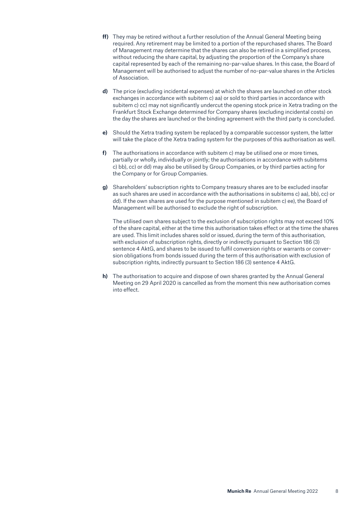- **ff)** They may be retired without a further resolution of the Annual General Meeting being required. Any retirement may be limited to a portion of the repurchased shares. The Board of Management may determine that the shares can also be retired in a simplified process, without reducing the share capital, by adjusting the proportion of the Company's share capital represented by each of the remaining no-par-value shares. In this case, the Board of Management will be authorised to adjust the number of no-par-value shares in the Articles of Association.
- **d)** The price (excluding incidental expenses) at which the shares are launched on other stock exchanges in accordance with subitem c) aa) or sold to third parties in accordance with subitem c) cc) may not significantly undercut the opening stock price in Xetra trading on the Frankfurt Stock Exchange determined for Company shares (excluding incidental costs) on the day the shares are launched or the binding agreement with the third party is concluded.
- **e)** Should the Xetra trading system be replaced by a comparable successor system, the latter will take the place of the Xetra trading system for the purposes of this authorisation as well.
- **f)** The authorisations in accordance with subitem c) may be utilised one or more times, partially or wholly, individually or jointly; the authorisations in accordance with subitems c) bb), cc) or dd) may also be utilised by Group Companies, or by third parties acting for the Company or for Group Companies.
- **g)** Shareholders' subscription rights to Company treasury shares are to be excluded insofar as such shares are used in accordance with the authorisations in subitems c) aa), bb), cc) or dd). If the own shares are used for the purpose mentioned in subitem c) ee), the Board of Management will be authorised to exclude the right of subscription.

The utilised own shares subject to the exclusion of subscription rights may not exceed 10% of the share capital, either at the time this authorisation takes effect or at the time the shares are used. This limit includes shares sold or issued, during the term of this authorisation, with exclusion of subscription rights, directly or indirectly pursuant to Section 186 (3) sentence 4 AktG, and shares to be issued to fulfil conversion rights or warrants or conversion obligations from bonds issued during the term of this authorisation with exclusion of subscription rights, indirectly pursuant to Section 186 (3) sentence 4 AktG.

**h)** The authorisation to acquire and dispose of own shares granted by the Annual General Meeting on 29 April 2020 is cancelled as from the moment this new authorisation comes into effect.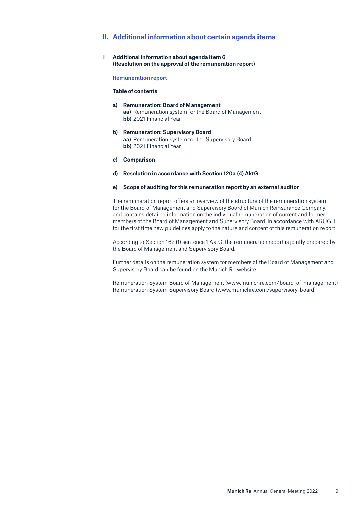# <span id="page-8-0"></span>**II. Additional information about certain agenda items**

**1 Additional information about agenda item 6 (Resolution on the approval of the remuneration report)**

**Remuneration report**

#### **Table of contents**

- **a) Remuneration: Board of Management aa)** Remuneration system for the Board of Management **bb)** 2021 Financial Year
- **b) Remuneration: Supervisory Board aa)** Remuneration system for the Supervisory Board **bb)** 2021 Financial Year
- **c) Comparison**
- **d) Resolution in accordance with Section 120a (4) AktG**

#### **e) Scope of auditing for this remuneration report by an external auditor**

The remuneration report offers an overview of the structure of the remuneration system for the Board of Management and Supervisory Board of Munich Reinsurance Company, and contains detailed information on the individual remuneration of current and former members of the Board of Management and Supervisory Board. In accordance with ARUG II, for the first time new guidelines apply to the nature and content of this remuneration report.

According to Section 162 (1) sentence 1 AktG, the remuneration report is jointly prepared by the Board of Management and Supervisory Board.

Further details on the remuneration system for members of the Board of Management and Supervisory Board can be found on the Munich Re website:

Remuneration System Board of Management (www.munichre.com/board-of-management) Remuneration System Supervisory Board (www.munichre.com/supervisory-board)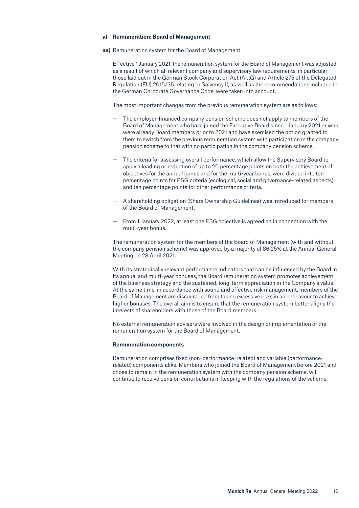#### **a) Remuneration: Board of Management**

**aa)** Remuneration system for the Board of Management

Effective 1 January 2021, the remuneration system for the Board of Management was adjusted, as a result of which all relevant company and supervisory law requirements, in particular those laid out in the German Stock Corporation Act (AktG) and Article 275 of the Delegated Regulation (EU) 2015/35 relating to Solvency II, as well as the recommendations included in the German Corporate Governance Code, were taken into account.

The most important changes from the previous remuneration system are as follows:

- The employer-financed company pension scheme does not apply to members of the Board of Management who have joined the Executive Board since 1 January 2021 or who were already Board members prior to 2021 and have exercised the option granted to them to switch from the previous remuneration system with participation in the company pension scheme to that with no participation in the company pension scheme.
- The criteria for assessing overall performance, which allow the Supervisory Board to apply a loading or reduction of up to 20 percentage points on both the achievement of objectives for the annual bonus and for the multi-year bonus, were divided into ten percentage points for ESG criteria (ecological, social and governance-related aspects) and ten percentage points for other performance criteria.
- A shareholding obligation (Share Ownership Guidelines) was introduced for members of the Board of Management.
- From 1 January 2022, at least one ESG objective is agreed on in connection with the multi-year bonus.

The remuneration system for the members of the Board of Management (with and without the company pension scheme) was approved by a majority of 86.25% at the Annual General Meeting on 28 April 2021.

With its strategically relevant performance indicators that can be influenced by the Board in its annual and multi-year bonuses, the Board remuneration system promotes achievement of the business strategy and the sustained, long-term appreciation in the Company's value. At the same time, in accordance with sound and effective risk management, members of the Board of Management are discouraged from taking excessive risks in an endeavour to achieve higher bonuses. The overall aim is to ensure that the remuneration system better aligns the interests of shareholders with those of the Board members.

No external remuneration advisers were involved in the design or implementation of the remuneration system for the Board of Management.

#### **Remuneration components**

Remuneration comprises fixed (non-performance-related) and variable (performancerelated) components alike. Members who joined the Board of Management before 2021 and chose to remain in the remuneration system with the company pension scheme, will continue to receive pension contributions in keeping with the regulations of the scheme.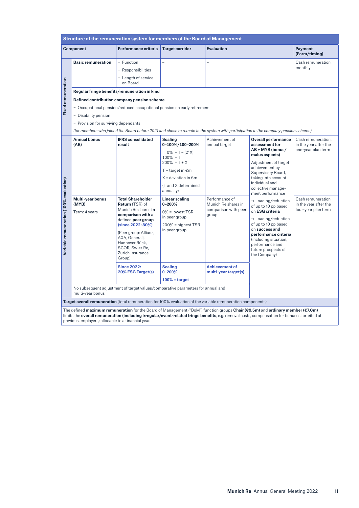| Structure of the remuneration system for members of the Board of Management |                                                                                           |                                                                                                                                                                                                                                                                                                                                                                                                                            |                                                                                                                                                                                                                                          |                                                                                                                         |                                                                                                                                                                                                                                                                    |                                                                    |  |
|-----------------------------------------------------------------------------|-------------------------------------------------------------------------------------------|----------------------------------------------------------------------------------------------------------------------------------------------------------------------------------------------------------------------------------------------------------------------------------------------------------------------------------------------------------------------------------------------------------------------------|------------------------------------------------------------------------------------------------------------------------------------------------------------------------------------------------------------------------------------------|-------------------------------------------------------------------------------------------------------------------------|--------------------------------------------------------------------------------------------------------------------------------------------------------------------------------------------------------------------------------------------------------------------|--------------------------------------------------------------------|--|
|                                                                             | <b>Component</b>                                                                          | Performance criteria                                                                                                                                                                                                                                                                                                                                                                                                       | <b>Target corridor</b>                                                                                                                                                                                                                   | <b>Evaluation</b>                                                                                                       |                                                                                                                                                                                                                                                                    | <b>Payment</b><br>(Form/timing)                                    |  |
| <b>Fixed remuneration</b>                                                   | <b>Basic remuneration</b><br>- Disability pension<br>- Provision for surviving dependants | - Function<br>- Responsibilities<br>- Length of service<br>on Board<br>Regular fringe benefits/remuneration in kind<br>Defined contribution company pension scheme<br>- Occupational pension/reduced occupational pension on early retirement                                                                                                                                                                              |                                                                                                                                                                                                                                          |                                                                                                                         | (for members who joined the Board before 2021 and chose to remain in the system with participation in the company pension scheme)                                                                                                                                  | Cash remuneration,<br>monthly                                      |  |
| Variable remuneration (100% evaluation)                                     | <b>Annual bonus</b><br><b>IFRS</b> consolidated<br>(AB)<br>result                         |                                                                                                                                                                                                                                                                                                                                                                                                                            | <b>Scaling</b><br>0-100%/100-200%<br>$0\% = T - (2^*X)$<br>$100\% = T$<br>$200\% = T + X$<br>$T = \text{target in } \text{\textsterling}m$<br>$X = deviation in \epsilon m$<br>(T and X determined<br>annually)<br><b>Linear scaling</b> | Achievement of<br>annual target                                                                                         | <b>Overall performance</b><br>assessment for<br>AB + MYB (bonus/<br>malus aspects)<br>Adjustment of target<br>achievement by<br>Supervisory Board,<br>taking into account<br>individual and<br>collective manage-<br>ment performance                              | Cash remuneration,<br>in the year after the<br>one-year plan term  |  |
|                                                                             | Multi-year bonus<br>(MYB)<br>Term: 4 years                                                | <b>Total Shareholder</b><br>$0 - 200%$<br>Return (TSR) of<br>Munich Re shares in<br>$0\%$ = lowest TSR<br>comparison with a<br>in peer group<br>defined peer group<br>(since 2022: 80%)<br>$200\%$ = highest TSR<br>in peer group<br>(Peer group: Allianz,<br>AXA. Generali.<br>Hannover Rück,<br>SCOR, Swiss Re,<br>Zurich Insurance<br>Group)<br><b>Since 2022:</b><br><b>Scaling</b><br>20% ESG Target(s)<br>$0 - 200%$ |                                                                                                                                                                                                                                          | Performance of<br>Munich Re shares in<br>comparison with peer<br>group<br><b>Achievement of</b><br>multi-year target(s) | $\rightarrow$ Loading/reduction<br>of up to 10 pp based<br>on ESG criteria<br>$\rightarrow$ Loading/reduction<br>of up to 10 pp based<br>on success and<br>performance criteria<br>(including situation,<br>performance and<br>future prospects of<br>the Company) | Cash remuneration,<br>in the year after the<br>four-year plan term |  |
|                                                                             | multi-year bonus                                                                          | No subsequent adjustment of target values/comparative parameters for annual and                                                                                                                                                                                                                                                                                                                                            | $100\%$ = target                                                                                                                                                                                                                         |                                                                                                                         |                                                                                                                                                                                                                                                                    |                                                                    |  |
|                                                                             |                                                                                           | Target overall remuneration (total remuneration for 100% evaluation of the variable remuneration components)                                                                                                                                                                                                                                                                                                               |                                                                                                                                                                                                                                          |                                                                                                                         |                                                                                                                                                                                                                                                                    |                                                                    |  |
|                                                                             |                                                                                           |                                                                                                                                                                                                                                                                                                                                                                                                                            |                                                                                                                                                                                                                                          |                                                                                                                         |                                                                                                                                                                                                                                                                    |                                                                    |  |

The defined **maximum remuneration** for the Board of Management ("BoM") function groups **Chair (€9.5m)** and **ordinary member (€7.0m)** limits the **overall remuneration (including irregular/event-related fringe benefits**, e.g. removal costs, compensation for bonuses forfeited at previous employers) allocable to a financial year.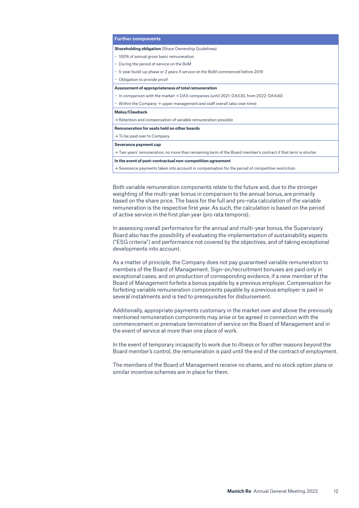| <b>Further components</b>                                                                                                 |
|---------------------------------------------------------------------------------------------------------------------------|
| <b>Shareholding obligation</b> (Share Ownership Guidelines)                                                               |
| - 100% of annual gross basic remuneration                                                                                 |
| - During the period of service on the BoM                                                                                 |
| - 5-year build-up phase or 2 years if service on the BoM commenced before 2019                                            |
| - Obligation to provide proof                                                                                             |
| Assessment of appropriateness of total remuneration                                                                       |
| - In comparison with the market $\rightarrow$ DAX companies (until 2021: DAX30, from 2022: DAX40)                         |
| - Within the Company $\rightarrow$ upper management and staff overall (also over time)                                    |
| Malus/Clawback                                                                                                            |
| $\rightarrow$ Retention and compensation of variable remuneration possible                                                |
| Remuneration for seats held on other boards                                                                               |
| $\rightarrow$ To be paid over to Company                                                                                  |
| Severance payment cap                                                                                                     |
| $\rightarrow$ Two years' remuneration, no more than remaining term of the Board member's contract if that term is shorter |
| In the event of post-contractual non-competition agreement                                                                |
| $\rightarrow$ Severance payments taken into account in compensation for the period of competitive restriction             |
|                                                                                                                           |

Both variable remuneration components relate to the future and, due to the stronger weighting of the multi-year bonus in comparison to the annual bonus, are primarily based on the share price. The basis for the full and pro-rata calculation of the variable remuneration is the respective first year. As such, the calculation is based on the period of active service in the first plan year (pro rata temporis).

In assessing overall performance for the annual and multi-year bonus, the Supervisory Board also has the possibility of evaluating the implementation of sustainability aspects ("ESG criteria") and performance not covered by the objectives, and of taking exceptional developments into account.

As a matter of principle, the Company does not pay guaranteed variable remuneration to members of the Board of Management. Sign-on/recruitment bonuses are paid only in exceptional cases, and on production of corresponding evidence, if a new member of the Board of Management forfeits a bonus payable by a previous employer. Compensation for forfeiting variable remuneration components payable by a previous employer is paid in several instalments and is tied to prerequisites for disbursement.

Additionally, appropriate payments customary in the market over and above the previously mentioned remuneration components may arise or be agreed in connection with the commencement or premature termination of service on the Board of Management and in the event of service at more than one place of work.

In the event of temporary incapacity to work due to illness or for other reasons beyond the Board member's control, the remuneration is paid until the end of the contract of employment.

The members of the Board of Management receive no shares, and no stock option plans or similar incentive schemes are in place for them.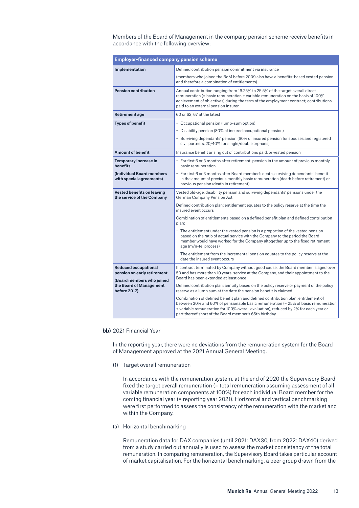Members of the Board of Management in the company pension scheme receive benefits in accordance with the following overview:

| <b>Employer-financed company pension scheme</b>                                         |                                                                                                                                                                                                                                                                                                                           |
|-----------------------------------------------------------------------------------------|---------------------------------------------------------------------------------------------------------------------------------------------------------------------------------------------------------------------------------------------------------------------------------------------------------------------------|
| Implementation                                                                          | Defined contribution pension commitment via insurance                                                                                                                                                                                                                                                                     |
|                                                                                         | (members who joined the BoM before 2009 also have a benefits-based vested pension<br>and therefore a combination of entitlements)                                                                                                                                                                                         |
| <b>Pension contribution</b>                                                             | Annual contribution ranging from 16.25% to 25.5% of the target overall direct<br>remuneration (= basic remuneration + variable remuneration on the basis of 100%<br>achievement of objectives) during the term of the employment contract; contributions<br>paid to an external pension insurer                           |
| <b>Retirement age</b>                                                                   | 60 or 62, 67 at the latest                                                                                                                                                                                                                                                                                                |
| <b>Types of benefit</b>                                                                 | - Occupational pension (lump-sum option)                                                                                                                                                                                                                                                                                  |
|                                                                                         | - Disability pension (80% of insured occupational pension)                                                                                                                                                                                                                                                                |
|                                                                                         | - Surviving dependants' pension (60% of insured pension for spouses and registered<br>civil partners, 20/40% for single/double orphans)                                                                                                                                                                                   |
| <b>Amount of benefit</b>                                                                | Insurance benefit arising out of contributions paid, or vested pension                                                                                                                                                                                                                                                    |
| Temporary increase in<br><b>henefits</b>                                                | - For first 6 or 3 months after retirement, pension in the amount of previous monthly<br>basic remuneration                                                                                                                                                                                                               |
| (Individual Board members)<br>with special agreements)                                  | - For first 6 or 3 months after Board member's death, surviving dependants' benefit<br>in the amount of previous monthly basic remuneration (death before retirement) or<br>previous pension (death in retirement)                                                                                                        |
| <b>Vested benefits on leaving</b><br>the service of the Company                         | Vested old-age, disability pension and surviving dependants' pensions under the<br>German Company Pension Act                                                                                                                                                                                                             |
|                                                                                         | Defined contribution plan: entitlement equates to the policy reserve at the time the<br>insured event occurs                                                                                                                                                                                                              |
|                                                                                         | Combination of entitlements based on a defined benefit plan and defined contribution<br>plan:                                                                                                                                                                                                                             |
|                                                                                         | - The entitlement under the vested pension is a proportion of the vested pension<br>based on the ratio of actual service with the Company to the period the Board<br>member would have worked for the Company altogether up to the fixed retirement<br>age (m/n-tel process)                                              |
|                                                                                         | - The entitlement from the incremental pension equates to the policy reserve at the<br>date the insured event occurs                                                                                                                                                                                                      |
| <b>Reduced occupational</b><br>pension on early retirement<br>(Board members who joined | If contract terminated by Company without good cause, the Board member is aged over<br>50 and has more than 10 years' service at the Company, and their appointment to the<br>Board has been extended at least once                                                                                                       |
| the Board of Management<br>before 2017)                                                 | Defined contribution plan: annuity based on the policy reserve or payment of the policy<br>reserve as a lump sum at the date the pension benefit is claimed                                                                                                                                                               |
|                                                                                         | Combination of defined benefit plan and defined contribution plan: entitlement of<br>between 30% and 60% of pensionable basic remuneration (= 25% of basic remuneration<br>+ variable remuneration for 100% overall evaluation), reduced by 2% for each year or<br>part thereof short of the Board member's 65th birthday |

#### **bb)** 2021 Financial Year

In the reporting year, there were no deviations from the remuneration system for the Board of Management approved at the 2021 Annual General Meeting.

(1) Target overall remuneration

In accordance with the remuneration system, at the end of 2020 the Supervisory Board fixed the target overall remuneration (= total remuneration assuming assessment of all variable remuneration components at 100%) for each individual Board member for the coming financial year (= reporting year 2021). Horizontal and vertical benchmarking were first performed to assess the consistency of the remuneration with the market and within the Company.

(a) Horizontal benchmarking

Remuneration data for DAX companies (until 2021: DAX30, from 2022: DAX40) derived from a study carried out annually is used to assess the market consistency of the total remuneration. In comparing remuneration, the Supervisory Board takes particular account of market capitalisation. For the horizontal benchmarking, a peer group drawn from the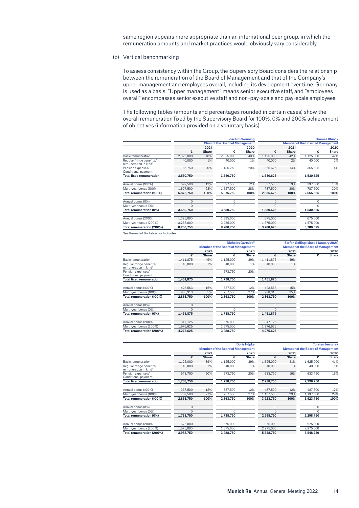same region appears more appropriate than an international peer group, in which the remuneration amounts and market practices would obviously vary considerably.

(b) Vertical benchmarking

To assess consistency within the Group, the Supervisory Board considers the relationship between the remuneration of the Board of Management and that of the Company's upper management and employees overall, including its development over time. Germany is used as a basis. "Upper management" means senior executive staff, and "employees overall" encompasses senior executive staff and non-pay-scale and pay-scale employees.

The following tables (amounts and percentages rounded in certain cases) show the overall remuneration fixed by the Supervisory Board for 100%, 0% and 200% achievement of objectives (information provided on a voluntary basis):

|                                                               | <b>Joachim Wenning</b> |              |                                         |              |           |              |                                          | <b>Thomas Blunck</b> |  |
|---------------------------------------------------------------|------------------------|--------------|-----------------------------------------|--------------|-----------|--------------|------------------------------------------|----------------------|--|
|                                                               |                        |              | <b>Chair of the Board of Management</b> |              |           |              | <b>Member of the Board of Management</b> |                      |  |
|                                                               |                        | 2021         |                                         | 2020         |           | 2021         | 2020                                     |                      |  |
|                                                               | €                      | <b>Share</b> | €                                       | <b>Share</b> | €         | <b>Share</b> | €                                        | <b>Share</b>         |  |
| Basic remuneration                                            | 2,325,000              | 40%          | 2,325,000                               | 40%          | 1,125,000 | 42%          | 1,125,000                                | 42%                  |  |
| Regular fringe benefits/<br>remuneration in kind <sup>1</sup> | 40,000                 | 1%           | 40,000                                  | 1%           | 40,000    | 2%           | 40,000                                   | 2%                   |  |
| Pension expenses/<br>Conditional payment                      | 1,185,750              | 20%          | 1,185,750                               | 20%          | 365.625   | 14%          | 365,625                                  | 14%                  |  |
| <b>Total fixed remuneration</b>                               | 3.550.750              |              | 3,550,750                               |              | 1,530,625 |              | 1,530,625                                |                      |  |
| Annual bonus (100%)                                           | 697,500                | 12%          | 697,500                                 | 12%          | 337,500   | 13%          | 337,500                                  | 13%                  |  |
| Multi-year bonus (100%)                                       | 1,627,500              | 28%          | 1,627,500                               | 28%          | 787,500   | 30%          | 787,500                                  | 30%                  |  |
| Total remuneration (100%)                                     | 5,875,750              | 100%         | 5,875,750                               | 100%         | 2,655,625 | 100%         | 2,655,625                                | 100%                 |  |
| Annual bonus (0%)                                             | $\Omega$               |              | 0                                       |              | $\Omega$  |              | 0                                        |                      |  |
| Multi-year bonus (0%)                                         | $\Omega$               |              | $\Omega$                                |              | $\Omega$  |              | $\Omega$                                 |                      |  |
| Total remuneration (0%)                                       | 3,550,750              |              | 3,550,750                               |              | 1,530,625 |              | 1,530,625                                |                      |  |
| Annual bonus (200%)                                           | 1,395,000              |              | 1,395,000                               |              | 675,000   |              | 675,000                                  |                      |  |
| Multi-year bonus (200%)                                       | 3,255,000              |              | 3,255,000                               |              | 1,575,000 |              | 1,575,000                                |                      |  |
| Total remuneration (200%)                                     | 8,200,750              |              | 8,200,750                               |              | 3,780,625 |              | 3,780,625                                |                      |  |

See the end of the tables for footnotes.

|                                                               | Nicholas Gartside <sup>2</sup> |              |                                          |              | Stefan Golling (since 1 January 2021) |                                          |   |       |
|---------------------------------------------------------------|--------------------------------|--------------|------------------------------------------|--------------|---------------------------------------|------------------------------------------|---|-------|
|                                                               |                                |              | <b>Member of the Board of Management</b> |              |                                       | <b>Member of the Board of Management</b> |   |       |
|                                                               |                                | 2021         |                                          | 2020         |                                       | 2021                                     |   |       |
|                                                               | €                              | <b>Share</b> | €                                        | <b>Share</b> | €                                     | <b>Share</b>                             | € | Share |
| <b>Basic remuneration</b>                                     | 1,411,875                      | 49%          | 1,125,000                                | 39%          | 1,411,875                             | 49%                                      |   |       |
| Regular fringe benefits/<br>remuneration in kind <sup>1</sup> | 40,000                         | 1%           | 40,000                                   | 1%           | 40,000                                | 1%                                       |   |       |
| Pension expenses/<br>Conditional payment                      |                                |              | 573.750                                  | 20%          |                                       |                                          |   |       |
| <b>Total fixed remuneration</b>                               | 1,451,875                      |              | 1,738,750                                |              | 1,451,875                             |                                          |   |       |
| Annual bonus (100%)                                           | 423.563                        | 15%          | 337,500                                  | 12%          | 423.563                               | 15%                                      |   |       |
| Multi-year bonus (100%)                                       | 988.313                        | 35%          | 787.500                                  | 27%          | 988,313                               | 35%                                      |   |       |
| Total remuneration (100%)                                     | 2,863,750                      | 100%         | 2,863,750                                | 100%         | 2,863,750                             | 100%                                     |   |       |
| Annual bonus (0%)                                             | $\mathbf 0$                    |              | $\Omega$                                 |              | $\Omega$                              |                                          |   |       |
| Multi-year bonus (0%)                                         | $\Omega$                       |              | $\Omega$                                 |              | $\Omega$                              |                                          |   |       |
| Total remuneration (0%)                                       | 1,451,875                      |              | 1,738,750                                |              | 1,451,875                             |                                          |   |       |
| Annual bonus (200%)                                           | 847,125                        |              | 675,000                                  |              | 847,125                               |                                          |   |       |
| Multi-year bonus (200%)                                       | 1,976,625                      |              | 1,575,000                                |              | 1,976,625                             |                                          |   |       |
| Total remuneration (200%)                                     | 4.275.625                      |              | 3.988.750                                |              | 4.275.625                             |                                          |   |       |

|                                                               |           | <b>Doris Höpke</b> |                                          |              |                                          | <b>Torsten Jeworrek</b> |              |              |
|---------------------------------------------------------------|-----------|--------------------|------------------------------------------|--------------|------------------------------------------|-------------------------|--------------|--------------|
|                                                               |           |                    | <b>Member of the Board of Management</b> |              | <b>Member of the Board of Management</b> |                         |              |              |
|                                                               |           | 2021               |                                          | 2020         |                                          | 2021                    |              | 2020         |
|                                                               | €         | <b>Share</b>       | €                                        | <b>Share</b> | €                                        | <b>Share</b>            | €            | <b>Share</b> |
| Basic remuneration                                            | 1,125,000 | 39%                | 1,125,000                                | 39%          | 1,625,000                                | 41%                     | 1,625,000    | 41%          |
| Regular fringe benefits/<br>remuneration in kind <sup>1</sup> | 40,000    | 1%                 | 40,000                                   | 1%           | 40,000                                   | $1\%$                   | 40,000       | 1%           |
| Pension expenses/<br>Conditional payment                      | 573.750   | 20%                | 573.750                                  | 20%          | 633.750                                  | 16%                     | 633,750      | 16%          |
| <b>Total fixed remuneration</b>                               | 1.738.750 |                    | 1.738.750                                |              | 2,298,750                                |                         | 2,298,750    |              |
| Annual bonus (100%)                                           | 337,500   | 12%                | 337,500                                  | 12%          | 487.500                                  | 12%                     | 487.500      | 12%          |
| Multi-year bonus (100%)                                       | 787,500   | 27%                | 787,500                                  | 27%          | 1,137,500                                | 29%                     | 1,137,500    | 29%          |
| Total remuneration (100%)                                     | 2,863,750 | 100%               | 2,863,750                                | 100%         | 3,923,750                                | 100%                    | 3,923,750    | 100%         |
| Annual bonus (0%)                                             | 0         |                    | $\Omega$                                 |              | $\Omega$                                 |                         | $\Omega$     |              |
| Multi-year bonus (0%)                                         | $\Omega$  |                    | O                                        |              | $\Omega$                                 |                         | <sup>0</sup> |              |
| Total remuneration (0%)                                       | 1,738,750 |                    | 1,738,750                                |              | 2,298,750                                |                         | 2,298,750    |              |
| Annual bonus (200%)                                           | 675,000   |                    | 675,000                                  |              | 975,000                                  |                         | 975,000      |              |
| Multi-year bonus (200%)                                       | 1,575,000 |                    | 1,575,000                                |              | 2,275,000                                |                         | 2,275,000    |              |
| Total remuneration (200%)                                     | 3.988.750 |                    | 3.988.750                                |              | 5.548.750                                |                         | 5.548.750    |              |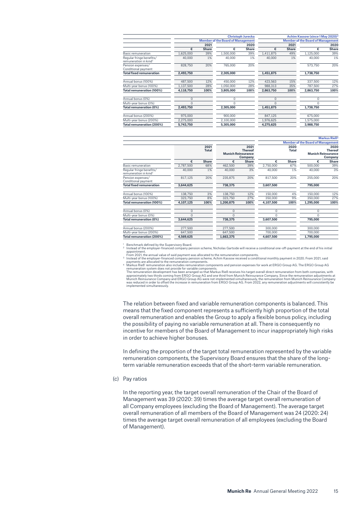|                                                               |           | <b>Christoph Jurecka</b> |                                          |              | Achim Kassow (since 1 May 2020)          |              |           |       |
|---------------------------------------------------------------|-----------|--------------------------|------------------------------------------|--------------|------------------------------------------|--------------|-----------|-------|
|                                                               |           |                          | <b>Member of the Board of Management</b> |              | <b>Member of the Board of Management</b> |              |           |       |
|                                                               |           | 2021                     |                                          | 2020         |                                          | 2021         | 2020      |       |
|                                                               | €         | <b>Share</b>             | €                                        | <b>Share</b> | €                                        | <b>Share</b> | €         | Share |
| Basic remuneration                                            | 1,625,000 | 39%                      | 1,500,000                                | 39%          | 1,411,875                                | 49%          | 1,125,000 | 39%   |
| Regular fringe benefits/<br>remuneration in kind <sup>1</sup> | 40,000    | 1%                       | 40,000                                   | 1%           | 40,000                                   | 1%           | 40,000    | 1%    |
| Pension expenses/<br>Conditional payment                      | 828,750   | 20%                      | 765,000                                  | 20%          |                                          |              | 573,750   | 20%   |
| <b>Total fixed remuneration</b>                               | 2,493,750 |                          | 2,305,000                                |              | 1,451,875                                |              | 1,738,750 |       |
| Annual bonus (100%)                                           | 487.500   | 12%                      | 450,000                                  | 12%          | 423.563                                  | 15%          | 337,500   | 12%   |
| Multi-year bonus (100%)                                       | 1,137,500 | 28%                      | 1.050.000                                | 28%          | 988.313                                  | 35%          | 787.500   | 27%   |
| Total remuneration (100%)                                     | 4,118,750 | 100%                     | 3.805.000                                | 100%         | 2,863,750                                | 100%         | 2,863,750 | 100%  |
| Annual bonus (0%)                                             | 0         |                          | 0                                        |              | $\mathbf 0$                              |              | 0         |       |
| Multi-year bonus (0%)                                         | 0         |                          | $\Omega$                                 |              | $\Omega$                                 |              | $\Omega$  |       |
| Total remuneration (0%)                                       | 2,493,750 |                          | 2,305,000                                |              | 1,451,875                                |              | 1,738,750 |       |
| Annual bonus (200%)                                           | 975,000   |                          | 900.000                                  |              | 847,125                                  |              | 675,000   |       |
| Multi-year bonus (200%)                                       | 2,275,000 |                          | 2,100,000                                |              | 1,976,625                                |              | 1,575,000 |       |
| Total remuneration (200%)                                     | 5,743,750 |                          | 5,305,000                                |              | 4,275,625                                |              | 3,988,750 |       |

|                                                               |           |                      |                           |                                   |           |                      |                                          | <b>Markus Rieß<sup>4</sup></b>    |
|---------------------------------------------------------------|-----------|----------------------|---------------------------|-----------------------------------|-----------|----------------------|------------------------------------------|-----------------------------------|
|                                                               |           |                      |                           |                                   |           |                      | <b>Member of the Board of Management</b> |                                   |
|                                                               |           | 2021<br><b>Total</b> | <b>Munich Reinsurance</b> | 2021<br><b>Thereof</b><br>Company |           | 2020<br><b>Total</b> | <b>Munich Reinsurance</b>                | 2020<br><b>Thereof</b><br>Company |
|                                                               | €         | <b>Share</b>         | €                         | <b>Share</b>                      | €         | <b>Share</b>         | €                                        | <b>Share</b>                      |
| Basic remuneration                                            | 2,787,500 | 68%                  | 462,500                   | 39%                               | 2,750,000 | 67%                  | 500,000                                  | 39%                               |
| Regular fringe benefits/<br>remuneration in kind <sup>1</sup> | 40,000    | 1%                   | 40,000                    | 3%                                | 40,000    | 1%                   | 40,000                                   | 3%                                |
| Pension expenses/<br>Conditional payment                      | 817,125   | 20%                  | 235.875                   | 20%                               | 817.500   | 20%                  | 255,000                                  | 20%                               |
| <b>Total fixed remuneration</b>                               | 3,644,625 |                      | 738,375                   |                                   | 3,607,500 |                      | 795,000                                  |                                   |
| Annual bonus (100%)                                           | 138,750   | 3%                   | 138,750                   | 12%                               | 150,000   | 4%                   | 150,000                                  | 12%                               |
| Multi-year bonus (100%)                                       | 323,750   | 8%                   | 323.750                   | 27%                               | 350,000   | 9%                   | 350,000                                  | 27%                               |
| Total remuneration (100%)                                     | 4,107,125 | 100%                 | 1,200,875                 | 100%                              | 4,107,500 | 100%                 | 1,295,000                                | 100%                              |
| Annual bonus (0%)                                             | $\Omega$  |                      | $\mathbf 0$               |                                   | $\Omega$  |                      | $\Omega$                                 |                                   |
| Multi-year bonus (0%)                                         | $\Omega$  |                      | $\Omega$                  |                                   | $\Omega$  |                      | $\Omega$                                 |                                   |
| Total remuneration (0%)                                       | 3,644,625 |                      | 738,375                   |                                   | 3,607,500 |                      | 795,000                                  |                                   |
| Annual bonus (200%)                                           | 277,500   |                      | 277,500                   |                                   | 300,000   |                      | 300,000                                  |                                   |
| Multi-year bonus (200%)                                       | 647,500   |                      | 647.500                   |                                   | 700,000   |                      | 700.000                                  |                                   |
| Total remuneration (200%)                                     | 4,569,625 |                      | 1,663,375                 |                                   | 4,607,500 |                      | 1,795,000                                |                                   |

<sup>1</sup> Benchmark defined by the Supervisory Board.<br><sup>2</sup> Instead of the employer-financed company pension scheme, Nicholas Gartside will receive a conditional one-off-payment at the end of his initial

appointment. From 2021, the annual value of said payment was allocated to the remuneration components.

3 Instead of the employer-financed company pension scheme, Achim Kassow received a conditional monthly payment in 2020. From 2021, said<br>payments are allocated to the remuneration components.

payments are allocated to the remuneration components.<br>
<sup>4</sup> Markus Rieß' remuneration also includes remuneration components and pension expenses for work at ERGO Group AG. The ERGO Group AG<br>
<sup>4</sup> Markus Rieß' remuneration d

The relation between fixed and variable remuneration components is balanced. This means that the fixed component represents a sufficiently high proportion of the total overall remuneration and enables the Group to apply a flexible bonus policy, including the possibility of paying no variable remuneration at all. There is consequently no incentive for members of the Board of Management to incur inappropriately high risks in order to achieve higher bonuses.

In defining the proportion of the target total remuneration represented by the variable remuneration components, the Supervisory Board ensures that the share of the longterm variable remuneration exceeds that of the short-term variable remuneration.

(c) Pay ratios

In the reporting year, the target overall remuneration of the Chair of the Board of Management was 39 (2020: 39) times the average target overall remuneration of all Company employees (excluding the Board of Management). The average target overall remuneration of all members of the Board of Management was 24 (2020: 24) times the average target overall remuneration of all employees (excluding the Board of Management).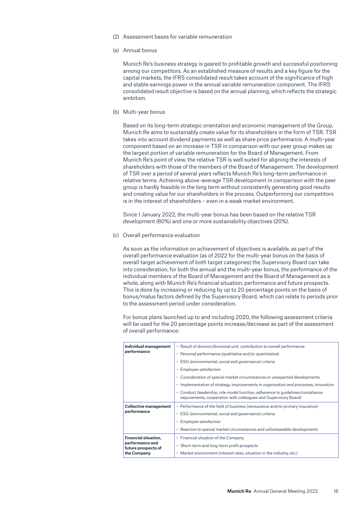- (2) Assessment bases for variable remuneration
- (a) Annual bonus

Munich Re's business strategy is geared to profitable growth and successful positioning among our competitors. As an established measure of results and a key figure for the capital markets, the IFRS consolidated result takes account of the significance of high and stable earnings power in the annual variable remuneration component. The IFRS consolidated result objective is based on the annual planning, which reflects the strategic ambition.

(b) Multi-year bonus

Based on its long-term strategic orientation and economic management of the Group, Munich Re aims to sustainably create value for its shareholders in the form of TSR. TSR takes into account dividend payments as well as share price performance. A multi-year component based on an increase in TSR in comparison with our peer group makes up the largest portion of variable remuneration for the Board of Management. From Munich Re's point of view, the relative TSR is well suited for aligning the interests of shareholders with those of the members of the Board of Management. The development of TSR over a period of several years reflects Munich Re's long-term performance in relative terms. Achieving above-average TSR development in comparison with the peer group is hardly feasible in the long term without consistently generating good results and creating value for our shareholders in the process. Outperforming our competitors is in the interest of shareholders – even in a weak market environment.

Since 1 January 2022, the multi-year bonus has been based on the relative TSR development (80%) and one or more sustainability objectives (20%).

(c) Overall performance evaluation

As soon as the information on achievement of objectives is available, as part of the overall performance evaluation (as of 2022 for the multi-year bonus on the basis of overall target achievement of both target categories) the Supervisory Board can take into consideration, for both the annual and the multi-year bonus, the performance of the individual members of the Board of Management and the Board of Management as a whole, along with Munich Re's financial situation, performance and future prospects. This is done by increasing or reducing by up to 20 percentage points on the basis of bonus/malus factors defined by the Supervisory Board, which can relate to periods prior to the assessment period under consideration.

For bonus plans launched up to and including 2020, the following assessment criteria will be used for the 20 percentage points increase/decrease as part of the assessment of overall performance:

| Individual management                  | - Result of division/divisional unit, contribution to overall performance                                                                        |  |  |  |  |  |
|----------------------------------------|--------------------------------------------------------------------------------------------------------------------------------------------------|--|--|--|--|--|
| performance                            | - Personal performance (qualitative and/or quantitative)                                                                                         |  |  |  |  |  |
|                                        | - ESG (environmental, social and governance) criteria                                                                                            |  |  |  |  |  |
|                                        | Employee satisfaction                                                                                                                            |  |  |  |  |  |
|                                        | - Consideration of special market circumstances or unexpected developments                                                                       |  |  |  |  |  |
|                                        | Implementation of strategy, improvements in organisation and processes, innovation                                                               |  |  |  |  |  |
|                                        | Conduct (leadership, role model function, adherence to quidelines/compliance<br>requirements, cooperation with colleagues and Supervisory Board) |  |  |  |  |  |
| <b>Collective management</b>           | - Performance of the field of business (reinsurance and/or primary insurance)                                                                    |  |  |  |  |  |
| performance                            | - ESG (environmental, social and governance) criteria                                                                                            |  |  |  |  |  |
|                                        | Employee satisfaction                                                                                                                            |  |  |  |  |  |
|                                        | - Reaction to special market circumstances and unforeseeable developments                                                                        |  |  |  |  |  |
| <b>Financial situation,</b>            | - Financial situation of the Company                                                                                                             |  |  |  |  |  |
| performance and<br>future prospects of | - Short-term and long-term profit prospects                                                                                                      |  |  |  |  |  |
| the Company                            | Market environment (interest rates, situation in the industry, etc.)<br>$\overline{\phantom{m}}$                                                 |  |  |  |  |  |
|                                        |                                                                                                                                                  |  |  |  |  |  |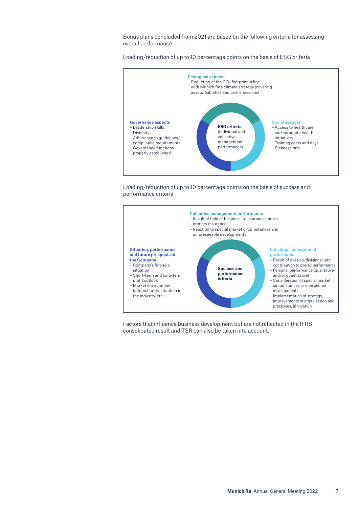Bonus plans concluded from 2021 are based on the following criteria for assessing overall performance:

Loading/reduction of up to 10 percentage points on the basis of ESG criteria



Loading/reduction of up to 10 percentage points on the basis of success and performance criteria



Factors that influence business development but are not reflected in the IFRS consolidated result and TSR can also be taken into account.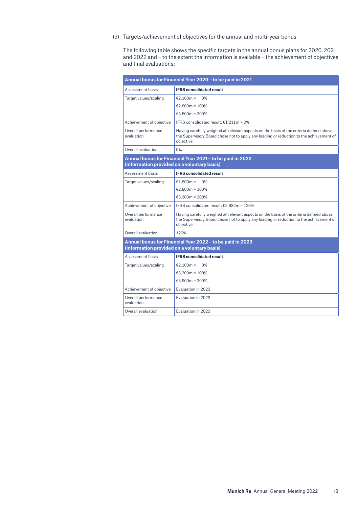(d) Targets/achievement of objectives for the annual and multi-year bonus

The following table shows the specific targets in the annual bonus plans for 2020, 2021 and 2022 and – to the extent the information is available – the achievement of objectives and final evaluations:

| Annual bonus for Financial Year 2020 - to be paid in 2021 |                                                                                                                                                                                                    |  |  |  |  |  |
|-----------------------------------------------------------|----------------------------------------------------------------------------------------------------------------------------------------------------------------------------------------------------|--|--|--|--|--|
| Assessment basis                                          | <b>IFRS consolidated result</b>                                                                                                                                                                    |  |  |  |  |  |
| Target values/scaling                                     | €2.100m =<br>0%                                                                                                                                                                                    |  |  |  |  |  |
|                                                           | €2.800m = $100\%$                                                                                                                                                                                  |  |  |  |  |  |
|                                                           | €3.500m = 200%                                                                                                                                                                                     |  |  |  |  |  |
| Achievement of objective                                  | IFRS consolidated result: €1.211m = 0%                                                                                                                                                             |  |  |  |  |  |
| Overall performance<br>evaluation                         | Having carefully weighed all relevant aspects on the basis of the criteria defined above,<br>the Supervisory Board chose not to apply any loading or reduction to the achievement of<br>objective. |  |  |  |  |  |
| Overall evaluation                                        | 0%                                                                                                                                                                                                 |  |  |  |  |  |
| (information provided on a voluntary basis)               | Annual bonus for Financial Year 2021 - to be paid in 2022                                                                                                                                          |  |  |  |  |  |
| Assessment basis                                          | <b>IFRS consolidated result</b>                                                                                                                                                                    |  |  |  |  |  |
| Target values/scaling                                     | €1.800m =<br>$0\%$                                                                                                                                                                                 |  |  |  |  |  |
|                                                           | €2.800m = $100\%$                                                                                                                                                                                  |  |  |  |  |  |
|                                                           | €3.300m = 200%                                                                                                                                                                                     |  |  |  |  |  |
| Achievement of objective                                  | IFRS consolidated result: €2,932m = 126%                                                                                                                                                           |  |  |  |  |  |
| Overall performance<br>evaluation                         | Having carefully weighed all relevant aspects on the basis of the criteria defined above,<br>the Supervisory Board chose not to apply any loading or reduction to the achievement of<br>obiective. |  |  |  |  |  |
| Overall evaluation                                        | 126%                                                                                                                                                                                               |  |  |  |  |  |
| (information provided on a voluntary basis)               | Annual bonus for Financial Year 2022 - to be paid in 2023                                                                                                                                          |  |  |  |  |  |
| Assessment basis                                          | <b>IFRS consolidated result</b>                                                                                                                                                                    |  |  |  |  |  |
| Target values/scaling                                     | €2,100m =<br>0%                                                                                                                                                                                    |  |  |  |  |  |
|                                                           | €3.300m = $100\%$                                                                                                                                                                                  |  |  |  |  |  |
|                                                           | €3,900m = $200%$                                                                                                                                                                                   |  |  |  |  |  |
| Achievement of objective                                  | Evaluation in 2023                                                                                                                                                                                 |  |  |  |  |  |
| Overall performance<br>evaluation                         | Evaluation in 2023                                                                                                                                                                                 |  |  |  |  |  |
| Overall evaluation                                        | Evaluation in 2023                                                                                                                                                                                 |  |  |  |  |  |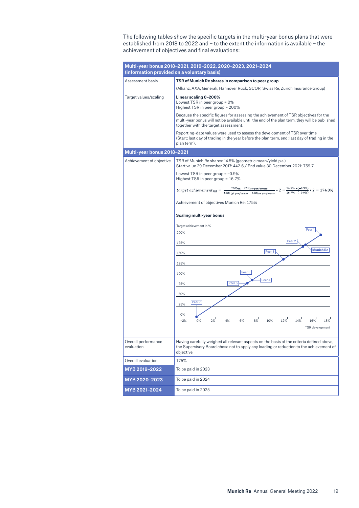The following tables show the specific targets in the multi-year bonus plans that were established from 2018 to 2022 and – to the extent the information is available – the achievement of objectives and final evaluations:

| (information provided on a voluntary basis) | Multi-year bonus 2018-2021, 2019-2022, 2020-2023, 2021-2024                                                                                                                                                                   |
|---------------------------------------------|-------------------------------------------------------------------------------------------------------------------------------------------------------------------------------------------------------------------------------|
| Assessment basis                            | TSR of Munich Re shares in comparison to peer group                                                                                                                                                                           |
|                                             | (Allianz, AXA, Generali, Hannover Rück, SCOR, Swiss Re, Zurich Insurance Group)                                                                                                                                               |
| Target values/scaling                       | Linear scaling 0-200%<br>Lowest TSR in peer group = $0\%$<br>Highest TSR in peer group = 200%                                                                                                                                 |
|                                             | Because the specific figures for assessing the achievement of TSR objectives for the<br>multi-year bonus will not be available until the end of the plan term, they will be published<br>together with the target assessment. |
|                                             | Reporting-date values were used to assess the development of TSR over time<br>(Start: last day of trading in the year before the plan term, end: last day of trading in the<br>plan term).                                    |
| Multi-year bonus 2018-2021                  |                                                                                                                                                                                                                               |
| Achievement of objective                    | TSR of Munich Re shares: 14.5% (geometric mean/yield p.a.)<br>Start value 29 December 2017: 442.6 / End value 30 December 2021: 759.7                                                                                         |
|                                             | Lowest TSR in peer group $= -0.9\%$<br>Highest TSR in peer group = 16.7%                                                                                                                                                      |
|                                             |                                                                                                                                                                                                                               |
|                                             | Achievement of objectives Munich Re: 175%                                                                                                                                                                                     |
|                                             | Scaling multi-year bonus                                                                                                                                                                                                      |
|                                             | Target achievement in %<br>Peer 1                                                                                                                                                                                             |
|                                             | 200%                                                                                                                                                                                                                          |
|                                             | Peer 2<br>175%                                                                                                                                                                                                                |
|                                             | <b>Munich Re</b><br>Peer 3<br>150%                                                                                                                                                                                            |
|                                             | 125%                                                                                                                                                                                                                          |
|                                             | Peer 5<br>100%                                                                                                                                                                                                                |
|                                             | Peer 4<br>Peer 6<br>75%                                                                                                                                                                                                       |
|                                             | 50%                                                                                                                                                                                                                           |
|                                             | Peer 7<br>25%                                                                                                                                                                                                                 |
|                                             | 0%                                                                                                                                                                                                                            |
|                                             | 0%<br>2%<br>4%<br>6%<br>8%<br>10%<br>12%<br>14%<br>$-2%$<br>16%<br>18%<br>TSR development                                                                                                                                     |
| Overall performance<br>evaluation           | Having carefully weighed all relevant aspects on the basis of the criteria defined above,<br>the Supervisory Board chose not to apply any loading or reduction to the achievement of<br>objective.                            |
| Overall evaluation                          | 175%                                                                                                                                                                                                                          |
| MYB 2019-2022                               | To be paid in 2023                                                                                                                                                                                                            |
| MYB 2020-2023                               | To be paid in 2024                                                                                                                                                                                                            |
| MYB 2021-2024                               | To be paid in 2025                                                                                                                                                                                                            |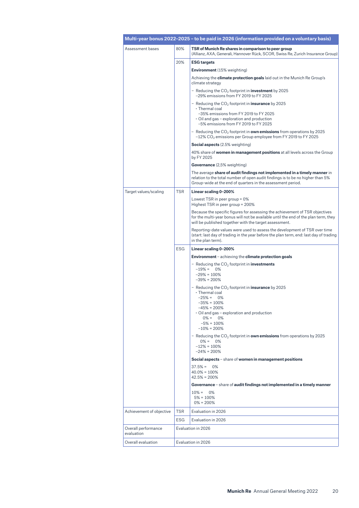|                                   |            | Multi-year bonus 2022-2025 - to be paid in 2026 (information provided on a voluntary basis)                                                                                                                                       |
|-----------------------------------|------------|-----------------------------------------------------------------------------------------------------------------------------------------------------------------------------------------------------------------------------------|
| Assessment bases                  | 80%        | TSR of Munich Re shares in comparison to peer group<br>(Allianz, AXA, Generali, Hannover Rück, SCOR, Swiss Re, Zurich Insurance Group)                                                                                            |
|                                   | 20%        | <b>ESG targets</b>                                                                                                                                                                                                                |
|                                   |            | <b>Environment</b> (15% weighting)                                                                                                                                                                                                |
|                                   |            | Achieving the <b>climate protection goals</b> laid out in the Munich Re Group's<br>climate strategy                                                                                                                               |
|                                   |            | - Reducing the $CO_2$ footprint in <b>investment</b> by 2025<br>-29% emissions from FY 2019 to FY 2025                                                                                                                            |
|                                   |            | - Reducing the $CO_2$ footprint in <b>insurance</b> by 2025<br>· Thermal coal<br>-35% emissions from FY 2019 to FY 2025<br>$\cdot$ Oil and gas – exploration and production<br>-5% emissions from FY 2019 to FY 2025              |
|                                   |            | – Reducing the CO <sub>2</sub> footprint in <b>own emissions</b> from operations by 2025<br>$-12\%$ CO <sub>2</sub> emissions per Group employee from FY 2019 to FY 2025                                                          |
|                                   |            | <b>Social aspects</b> (2.5% weighting)                                                                                                                                                                                            |
|                                   |            | 40% share of <b>women in management positions</b> at all levels across the Group<br>by FY 2025                                                                                                                                    |
|                                   |            | <b>Governance</b> (2,5% weighting)                                                                                                                                                                                                |
|                                   |            | The average <b>share of audit findings not implemented in a timely manner</b> in<br>relation to the total number of open audit findings is to be no higher than 5%<br>Group-wide at the end of quarters in the assessment period. |
| Target values/scaling             | <b>TSR</b> | Linear scaling 0-200%                                                                                                                                                                                                             |
|                                   |            | Lowest TSR in peer group = $0\%$<br>Highest TSR in peer group = 200%                                                                                                                                                              |
|                                   |            | Because the specific figures for assessing the achievement of TSR objectives<br>for the multi-year bonus will not be available until the end of the plan term, they<br>will be published together with the target assessment.     |
|                                   |            | Reporting-date values were used to assess the development of TSR over time<br>(start: last day of trading in the year before the plan term, end: last day of trading<br>in the plan term).                                        |
|                                   | <b>ESG</b> | Linear scaling 0-200%                                                                                                                                                                                                             |
|                                   |            | <b>Environment</b> – achieving the <b>climate protection goals</b>                                                                                                                                                                |
|                                   |            | - Reducing the $CO2$ footprint in <b>investments</b><br>$-19\% = 0\%$<br>$-29\% = 100\%$<br>$-39\% = 200\%$                                                                                                                       |
|                                   |            | - Reducing the $CO_2$ footprint in <b>insurance</b> by 2025<br>· Thermal coal<br>$-25% =$<br>0%<br>$-35\% = 100\%$<br>$-45\% = 200\%$<br>• Oil and gas – exploration and production                                               |
|                                   |            | $0\% =$<br>0%<br>$-5\% = 100\%$<br>$-10\% = 200\%$                                                                                                                                                                                |
|                                   |            | - Reducing the $CO2$ footprint in <b>own emissions</b> from operations by 2025<br>$0\% =$<br>0%<br>$-12\% = 100\%$<br>$-24\% = 200\%$                                                                                             |
|                                   |            | Social aspects - share of women in management positions                                                                                                                                                                           |
|                                   |            | $37.5% = 0%$<br>$40.0\% = 100\%$<br>$42.5% = 200%$                                                                                                                                                                                |
|                                   |            | Governance – share of audit findings not implemented in a timely manner<br>$10\% =$<br>0%<br>$5% = 100%$<br>$0\% = 200\%$                                                                                                         |
| Achievement of objective          | <b>TSR</b> | Evaluation in 2026                                                                                                                                                                                                                |
|                                   | ESG        | Evaluation in 2026                                                                                                                                                                                                                |
| Overall performance<br>evaluation |            | Evaluation in 2026                                                                                                                                                                                                                |
| Overall evaluation                |            | Evaluation in 2026                                                                                                                                                                                                                |
|                                   |            |                                                                                                                                                                                                                                   |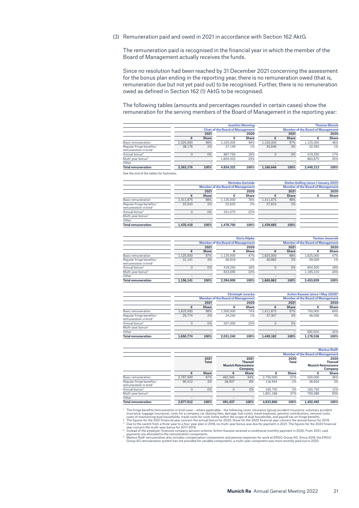(3) Remuneration paid and owed in 2021 in accordance with Section 162 AktG

The remuneration paid is recognised in the financial year in which the member of the Board of Management actually receives the funds.

Since no resolution had been reached by 31 December 2021 concerning the assessment for the bonus plan ending in the reporting year, there is no remuneration owed (that is, remuneration due but not yet paid out) to be recognised. Further, there is no remuneration owed as defined in Section 162 (1) AktG to be recognised.

The following tables (amounts and percentages rounded in certain cases) show the remuneration for the serving members of the Board of Management in the reporting year:

|                                                               |                                         | <b>Joachim Wenning</b> |           |              |           | <b>Thomas Blunck</b> |                                          |              |  |  |
|---------------------------------------------------------------|-----------------------------------------|------------------------|-----------|--------------|-----------|----------------------|------------------------------------------|--------------|--|--|
|                                                               | <b>Chair of the Board of Management</b> |                        |           |              |           |                      | <b>Member of the Board of Management</b> |              |  |  |
|                                                               |                                         | 2021<br>2020           |           |              | 2021      | 2020                 |                                          |              |  |  |
|                                                               | €                                       | <b>Share</b>           | €         | <b>Share</b> |           | <b>Share</b>         | €                                        | <b>Share</b> |  |  |
| Basic remuneration                                            | 2.325.000                               | 98%                    | 2.325.000 | 48%          | 1.125.000 | 97%                  | 1.125.000                                | 46%          |  |  |
| Regular fringe benefits/<br>remuneration in kind <sup>1</sup> | 38.176                                  | 2%                     | 37.149    | 1%           | 35.646    | 3%                   | 32,093                                   | 1%           |  |  |
| Annual bonus <sup>2</sup>                                     |                                         | 0%                     | 867.750   | 18%          |           | 0%                   | 419.250                                  | 17%          |  |  |
| Multi-year bonus <sup>3</sup>                                 |                                         |                        | 1.604.423 | 33%          |           |                      | 863.870                                  | 35%          |  |  |
| Other                                                         | -                                       |                        |           |              |           |                      |                                          | -            |  |  |
| <b>Total remuneration</b>                                     | 2.363.176                               | 100%                   | 4.834.322 | 100%         | 1.160.646 | 100%                 | 2.440.213                                | 100%         |  |  |

See the end of the tables for footnotes.

|                                                               |                                          | <b>Nicholas Gartside</b> |           |              |           | Stefan Golling (since 1 January 2021)    |   |       |  |  |
|---------------------------------------------------------------|------------------------------------------|--------------------------|-----------|--------------|-----------|------------------------------------------|---|-------|--|--|
|                                                               | <b>Member of the Board of Management</b> |                          |           |              |           | <b>Member of the Board of Management</b> |   |       |  |  |
|                                                               |                                          | 2021                     | 2020      |              |           | 2021                                     |   | 2020  |  |  |
|                                                               | €                                        | <b>Share</b>             |           | <b>Share</b> |           | <b>Share</b>                             | € | Share |  |  |
| Basic remuneration                                            | 1.411.875                                | 98%                      | 1.125.000 | 76%          | 1.411.875 | 98%                                      |   |       |  |  |
| Regular fringe benefits/<br>remuneration in kind <sup>1</sup> | 23.543                                   | 2%                       | 22.625    | 2%           | 27,810    | 2%                                       |   |       |  |  |
| Annual bonus <sup>2</sup>                                     |                                          | 0%                       | 331.075   | 22%          |           |                                          |   |       |  |  |
| Multi-year bonus <sup>3</sup>                                 |                                          |                          |           |              |           |                                          |   |       |  |  |
| Other                                                         |                                          |                          |           |              |           |                                          |   |       |  |  |
| <b>Total remuneration</b>                                     | 1.435.418                                | 100%                     | 1.478.700 | 100%         | 1.439.685 | 100%                                     |   |       |  |  |
|                                                               |                                          |                          |           |              |           |                                          |   |       |  |  |

|                                          |              |           |              | Torsten Jeworrel   |                                          |           |       |  |
|------------------------------------------|--------------|-----------|--------------|--------------------|------------------------------------------|-----------|-------|--|
| <b>Member of the Board of Management</b> |              |           |              |                    | <b>Member of the Board of Management</b> |           |       |  |
|                                          | 2021<br>2020 |           |              |                    | 2021                                     | 2020      |       |  |
| €                                        | <b>Share</b> | €         | <b>Share</b> |                    | <b>Share</b>                             | €         | Share |  |
| 1.125.000                                | 97%          | 1.125.000 | 47%          | 1.625.000          | 98%                                      | 1.625.000 | 47%   |  |
| 31.141                                   | 3%           | 26.919    | 1%           | 40.862             | 2%                                       | 39,029    | 1%    |  |
| $\Omega$                                 | 0%           | 419.250   | 18%          | $\Omega$           | 0%                                       | 604,500   | 18%   |  |
|                                          |              | 823.690   | 34%          |                    |                                          | 1.185.310 | 34%   |  |
| -                                        |              |           |              |                    |                                          |           |       |  |
| 1.156.141                                | 100%         | 2.394.859 | 100%         | 1.665.862          | 100%                                     | 3.453.839 | 100%  |  |
|                                          |              |           |              | <b>Doris Höpke</b> |                                          |           |       |  |

|                                                               |           | <b>Christoph Jurecka</b>                 |           |              |           | Achim Kassow (since 1 May 2020)          |           |       |  |
|---------------------------------------------------------------|-----------|------------------------------------------|-----------|--------------|-----------|------------------------------------------|-----------|-------|--|
|                                                               |           | <b>Member of the Board of Management</b> |           |              |           | <b>Member of the Board of Management</b> |           |       |  |
|                                                               |           | 2021                                     |           | 2020         |           | 2021                                     | 2020      |       |  |
|                                                               | €         | <b>Share</b>                             | ŧ.        | <b>Share</b> |           | <b>Share</b>                             | €         | Share |  |
| Basic remuneration                                            | 1.625.000 | 98%                                      | 1,500,000 | 74%          | 1.411.875 | 97%                                      | 750,000   | 64%   |  |
| Regular fringe benefits/<br>remuneration in kind <sup>1</sup> | 25,774    | 2%                                       | 24.240    | 1%           | 37.307    | 3%                                       | 46,036    | 4%    |  |
| Annual bonus <sup>2</sup>                                     | 0         | 0%                                       | 507.000   | 25%          |           | 0%                                       |           |       |  |
| Multi-year bonus <sup>3</sup>                                 |           |                                          |           |              |           |                                          |           |       |  |
| Other                                                         | -         |                                          | -         |              | -         |                                          | 382,500   | 32%   |  |
| <b>Total remuneration</b>                                     | 1.650.774 | 100%                                     | 2.031.240 | 100%         | 1,449,182 | 100%                                     | 1,178,536 | 100%  |  |

|                                                               |           |              |                                             |              |           |              |                                             | <b>Markus Rieß<sup>5</sup></b> |
|---------------------------------------------------------------|-----------|--------------|---------------------------------------------|--------------|-----------|--------------|---------------------------------------------|--------------------------------|
|                                                               |           |              |                                             |              |           |              | <b>Member of the Board of Management</b>    |                                |
|                                                               |           | 2021         |                                             | 2021         |           | 2020         |                                             | 2020                           |
|                                                               |           | <b>Total</b> | <b>Thereof</b><br><b>Munich Reinsurance</b> |              |           | <b>Total</b> | <b>Thereof</b><br><b>Munich Reinsurance</b> |                                |
|                                                               |           |              |                                             | Company      |           |              |                                             | Company                        |
|                                                               | €         | <b>Share</b> | €                                           | <b>Share</b> | €         | <b>Share</b> | €                                           | <b>Share</b>                   |
| Basic remuneration                                            | 2.787.500 | 97%          | 462,500                                     | 94%          | 2.750.000 | 57%          | 500,000                                     | 36%                            |
| Regular fringe benefits/<br>remuneration in kind <sup>1</sup> | 90.412    | 3%           | 28.937                                      | 6%           | 116.944   | 2%           | 36.654                                      | 3%                             |
| Annual bonus <sup>2</sup>                                     | 0         | 0%           | $\Omega$                                    | 0%           | 165,750   | 3%           | 165,750                                     | 12%                            |
| Multi-year bonus <sup>3</sup>                                 |           |              |                                             |              | 1,801,166 | 37%          | 700.088                                     | 50%                            |
| Other                                                         | -         |              |                                             |              | -         |              |                                             |                                |
| <b>Total remuneration</b>                                     | 2.877.912 | 100%         | 491.437                                     | 100%         | 4.833.860 | 100%         | 1.402.492                                   | 100%                           |

The fringe benefits/remuneration in kind cover – where applicable – the following costs: insurance (group accident insurance, voluntary accident<br>insurance, luggage insurance), costs for a company car (leasing fees, damage,

 $^2$  The figures for the 2020 financial year concern the annual bonus for 2020; those for the 2020 financial year concern the annual bonus for 2019.<br>  $^3$  Due to the switch from a three-year to a four-year plan in 2018, n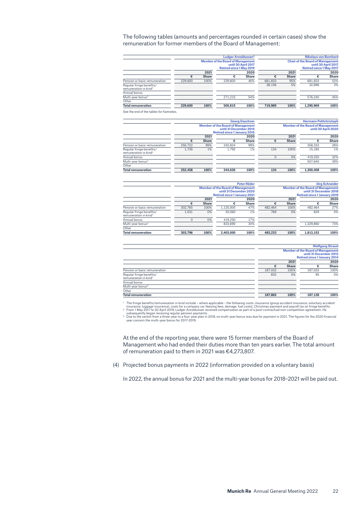The following tables (amounts and percentages rounded in certain cases) show the remuneration for former members of the Board of Management:

|                                                               |         | Ludger Arnoldussen <sup>2</sup><br><b>Member of the Board of Management</b><br>until 30 April 2017<br><b>Retired since 1 May 2019</b> |         |              | <b>Nikolaus von Bomhard</b><br><b>Chair of the Board of Management</b><br>until 30 April 2017<br><b>Retired since 1 May 2017</b> |              |           |              |
|---------------------------------------------------------------|---------|---------------------------------------------------------------------------------------------------------------------------------------|---------|--------------|----------------------------------------------------------------------------------------------------------------------------------|--------------|-----------|--------------|
|                                                               |         | 2021                                                                                                                                  |         | 2020         |                                                                                                                                  | 2021         |           | 2020         |
|                                                               | €       | <b>Share</b>                                                                                                                          | €       | <b>Share</b> | €                                                                                                                                | <b>Share</b> | €         | <b>Share</b> |
| Pension or basic remuneration                                 | 229,600 | 100%                                                                                                                                  | 229,600 | 46%          | 681.833                                                                                                                          | 95%          | 681.833   | 53%          |
| Reqular fringe benefits/<br>remuneration in kind <sup>1</sup> |         |                                                                                                                                       |         |              | 38.156                                                                                                                           | 5%           | 32,896    | 3%           |
| Annual bonus                                                  |         |                                                                                                                                       |         |              |                                                                                                                                  |              |           |              |
| Multi-year bonus <sup>3</sup>                                 |         |                                                                                                                                       | 271.215 | 54%          |                                                                                                                                  |              | 576.240   | 45%          |
| Other                                                         |         |                                                                                                                                       |         |              |                                                                                                                                  |              |           |              |
| <b>Total remuneration</b>                                     | 229.600 | 100%                                                                                                                                  | 500.815 | 100%         | 719.989                                                                                                                          | 100%         | 1.290.969 | 100%         |

|                                                               |              | <b>Georg Daschner</b> |         |                                                                                                           | <b>Hermann Pohlchristoph</b> |              |                                                                 |              |  |
|---------------------------------------------------------------|--------------|-----------------------|---------|-----------------------------------------------------------------------------------------------------------|------------------------------|--------------|-----------------------------------------------------------------|--------------|--|
|                                                               |              |                       |         | <b>Member of the Board of Management</b><br>until 31 December 2014<br><b>Retired since 1 January 2015</b> |                              |              | <b>Member of the Board of Management</b><br>until 30 April 2020 |              |  |
|                                                               | 2021<br>2020 |                       |         | 2021                                                                                                      |                              | 2020         |                                                                 |              |  |
|                                                               | €            | <b>Share</b>          | €       | <b>Share</b>                                                                                              | €                            | <b>Share</b> | €                                                               | <b>Share</b> |  |
| Pension or basic remuneration                                 | 250,722      | 99%                   | 242.834 | 99%                                                                                                       |                              |              | 358,333                                                         | 28%          |  |
| Regular fringe benefits/<br>remuneration in kind <sup>1</sup> | 1.735        | 1%                    | 1.792   | 1%                                                                                                        | 134                          | 100%         | 15.185                                                          | 1%           |  |
| Annual bonus                                                  |              |                       |         |                                                                                                           | 0                            | 0%           | 419.250                                                         | 32%          |  |
| Multi-year bonus <sup>3</sup>                                 |              |                       |         |                                                                                                           |                              |              | 507.640                                                         | 39%          |  |
| Other                                                         |              |                       |         |                                                                                                           |                              |              |                                                                 |              |  |
| <b>Total remuneration</b>                                     | 252.458      | 100%                  | 244.626 | 100%                                                                                                      | 134                          | 100%         | 1,300,408                                                       | 100%         |  |

|                                                               |          | Peter Röder  |                                                                                                           |              |         |                                                                                                           |           | Jörg Schneider |  |
|---------------------------------------------------------------|----------|--------------|-----------------------------------------------------------------------------------------------------------|--------------|---------|-----------------------------------------------------------------------------------------------------------|-----------|----------------|--|
|                                                               |          |              | <b>Member of the Board of Management</b><br>until 31 December 2020<br><b>Retired since 1 January 2021</b> |              |         | <b>Member of the Board of Management</b><br>until 31 December 2018<br><b>Retired since 1 January 2019</b> |           |                |  |
|                                                               |          | 2021         | 2020                                                                                                      |              |         | 2021                                                                                                      |           | 2020           |  |
|                                                               | €        | <b>Share</b> | €                                                                                                         | <b>Share</b> | €       | <b>Share</b>                                                                                              | €         | <b>Share</b>   |  |
| Pension or basic remuneration                                 | 302.765  | 100%         | 1.125.000                                                                                                 | 47%          | 482.464 | 100%                                                                                                      | 482.464   | 27%            |  |
| Regular fringe benefits/<br>remuneration in kind <sup>1</sup> | 1.031    | 0%           | 35,060                                                                                                    | 1%           | 769     | 0%                                                                                                        | 829       | 0%             |  |
| Annual bonus                                                  | $\Omega$ | 0%           | 419.250                                                                                                   | 17%          |         |                                                                                                           |           |                |  |
| Multi-year bonus <sup>3</sup>                                 |          |              | 823.690                                                                                                   | 34%          |         |                                                                                                           | 1,329,860 | 73%            |  |
| Other                                                         |          |              |                                                                                                           |              |         |                                                                                                           |           |                |  |
| <b>Total remuneration</b>                                     | 303.796  | 100%         | 2.403.000                                                                                                 | 100%         | 483.233 | 100%                                                                                                      | 1.813.152 | 100%           |  |

|                                                               |         | <b>Wolfgang Strassl</b> |                                                                                                           |              |  |
|---------------------------------------------------------------|---------|-------------------------|-----------------------------------------------------------------------------------------------------------|--------------|--|
|                                                               |         |                         | <b>Member of the Board of Management</b><br>until 31 December 2013<br><b>Retired since 1 January 2014</b> |              |  |
|                                                               |         | 2021                    |                                                                                                           | 2020         |  |
|                                                               | €       | <b>Share</b>            | €                                                                                                         | <b>Share</b> |  |
| Pension or basic remuneration                                 | 187.033 | 100%                    | 187.033                                                                                                   | 100%         |  |
| Regular fringe benefits/<br>remuneration in kind <sup>1</sup> | 832     | 0%                      | 95                                                                                                        | 0%           |  |
| Annual bonus                                                  |         |                         |                                                                                                           |              |  |
| Multi-year bonus <sup>3</sup>                                 |         |                         |                                                                                                           |              |  |
| Other                                                         |         |                         |                                                                                                           |              |  |
| <b>Total remuneration</b>                                     | 187,865 | 100%                    | 187.128                                                                                                   | 100%         |  |
|                                                               |         |                         |                                                                                                           |              |  |

The fringe benefits/remuneration in kind include – where applicable – the following costs: insurance (group accident insurance, voluntary accident<br>insurance, luggage insurance), costs for a company car (leasing fees, damag

At the end of the reporting year, there were 15 former members of the Board of Management who had ended their duties more than ten years earlier. The total amount of remuneration paid to them in 2021 was €4,273,807.

(4) Projected bonus payments in 2022 (information provided on a voluntary basis)

In 2022, the annual bonus for 2021 and the multi-year bonus for 2018–2021 will be paid out.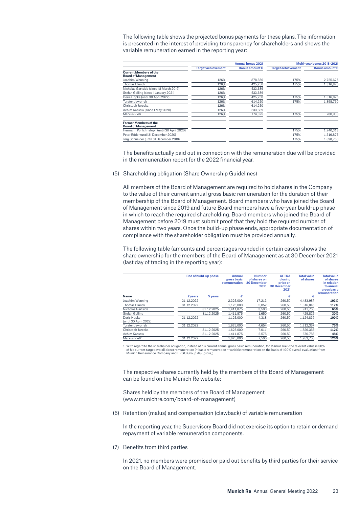The following table shows the projected bonus payments for these plans. The information is presented in the interest of providing transparency for shareholders and shows the variable remuneration earned in the reporting year:

|                                                             |                           | <b>Annual bonus 2021</b> |                           | Multi-year bonus 2018-2021 |
|-------------------------------------------------------------|---------------------------|--------------------------|---------------------------|----------------------------|
|                                                             | <b>Target achievement</b> | Bonus amount $\epsilon$  | <b>Target achievement</b> | <b>Bonus amount €</b>      |
| <b>Current Members of the</b><br><b>Board of Management</b> |                           |                          |                           |                            |
| Joachim Wenning                                             | 126%                      | 878,850                  | 175%                      | 2,725,625                  |
| Thomas Blunck                                               | 126%                      | 425.250                  | 175%                      | 1.316.875                  |
| Nicholas Gartside (since 18 March 2019)                     | 126%                      | 533,689                  |                           |                            |
| Stefan Golling (since 1 January 2021)                       | 126%                      | 533.689                  |                           |                            |
| Doris Höpke (until 30 April 2022)                           | 126%                      | 425,250                  | 175%                      | 1,316,875                  |
| <b>Torsten Jeworrek</b>                                     | 126%                      | 614.250                  | 175%                      | 1.898.750                  |
| Christoph Jurecka                                           | 126%                      | 614.250                  |                           |                            |
| Achim Kassow (since 1 May 2020)                             | 126%                      | 533.689                  |                           |                            |
| Markus Rieß                                                 | 126%                      | 174.825                  | 175%                      | 780.938                    |
| <b>Former Members of the</b><br><b>Board of Management</b>  |                           |                          |                           |                            |
| Hermann Pohlchristoph (until 30 April 2020)                 |                           |                          | 175%                      | 1,240,313                  |
| Peter Röder (until 31 December 2020)                        |                           |                          | 175%                      | 1,316,875                  |
| Jörg Schneider (until 31 December 2018)                     |                           |                          | 175%                      | 1.898.750                  |

The benefits actually paid out in connection with the remuneration due will be provided in the remuneration report for the 2022 financial year.

(5) Shareholding obligation (Share Ownership Guidelines)

All members of the Board of Management are required to hold shares in the Company to the value of their current annual gross basic remuneration for the duration of their membership of the Board of Management. Board members who have joined the Board of Management since 2019 and future Board members have a five-year build-up phase in which to reach the required shareholding. Board members who joined the Board of Management before 2019 must submit proof that they hold the required number of shares within two years. Once the build-up phase ends, appropriate documentation of compliance with the shareholder obligation must be provided annually.

The following table (amounts and percentages rounded in certain cases) shows the share ownership for the members of the Board of Management as at 30 December 2021 (last day of trading in the reporting year):

|                                      |            | End of build-up phase |           | <b>Number</b><br>of shares on<br><b>30 December</b><br>2021 | <b>XETRA</b><br>closina<br>price on<br><b>30 December</b><br>2021 | <b>Total value</b><br>of shares | <b>Total value</b><br>of shares<br>in relation<br>to annual<br>gross basic<br>remuneration |
|--------------------------------------|------------|-----------------------|-----------|-------------------------------------------------------------|-------------------------------------------------------------------|---------------------------------|--------------------------------------------------------------------------------------------|
| <b>Name</b>                          | 2 years    | 5 years               |           |                                                             | €                                                                 | €                               |                                                                                            |
| Joachim Wenning                      | 31.12.2022 |                       | 2.325.000 | 17,213                                                      | 260.50                                                            | 4.483.987                       | 193%                                                                                       |
| Thomas Blunck                        | 31.12.2022 |                       | 1.125.000 | 5.052                                                       | 260.50                                                            | 1.316.046                       | 117%                                                                                       |
| Nicholas Gartside                    |            | 31.12.2025            | 1.411.875 | 3.500                                                       | 260.50                                                            | 911.750                         | 65%                                                                                        |
| Stefan Golling                       |            | 31.12.2025            | 1,411,875 | 1,650                                                       | 260,50                                                            | 429,825                         | 30%                                                                                        |
| Doris Höpke<br>(until 30 April 2022) | 31.12.2022 |                       | 1.125.000 | 4.318                                                       | 260.50                                                            | 1.124.839                       | 100%                                                                                       |
| Torsten Jeworrek                     | 31.12.2022 |                       | 1.625.000 | 4.654                                                       | 260.50                                                            | 1.212.367                       | 75%                                                                                        |
| Christoph Jurecka                    |            | 31.12.2025            | 1.625.000 | 7.011                                                       | 260.50                                                            | 1,826,366                       | 112%                                                                                       |
| Achim Kassow                         |            | 31.12.2025            | 1,411,875 | 2.575                                                       | 260,50                                                            | 670.788                         | 48%                                                                                        |
| Markus Rieß <sup>1</sup>             | 31.12.2022 |                       | 1.625.000 | 7.500                                                       | 260.50                                                            | 1.953.750                       | 120%                                                                                       |
|                                      |            |                       |           |                                                             |                                                                   |                                 |                                                                                            |

<sup>1</sup> With regard to the shareholder obligation, instead of his current annual gross basic remuneration, for Markus Rieß the relevant value is 50%<br>of his current target overall direct remuneration (= basic remuneration + va

The respective shares currently held by the members of the Board of Management can be found on the Munich Re website:

Shares held by the members of the Board of Management (www.munichre.com/board-of-management)

(6) Retention (malus) and compensation (clawback) of variable remuneration

In the reporting year, the Supervisory Board did not exercise its option to retain or demand repayment of variable remuneration components.

(7) Benefits from third parties

In 2021, no members were promised or paid out benefits by third parties for their service on the Board of Management.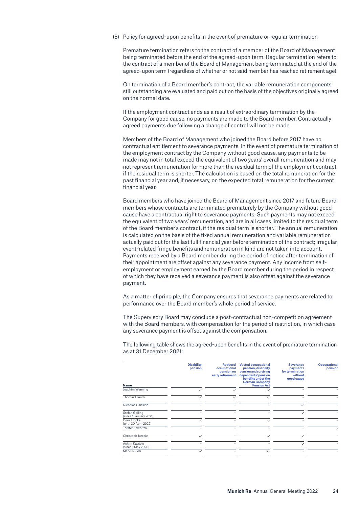(8) Policy for agreed-upon benefits in the event of premature or regular termination

Premature termination refers to the contract of a member of the Board of Management being terminated before the end of the agreed-upon term. Regular termination refers to the contract of a member of the Board of Management being terminated at the end of the agreed-upon term (regardless of whether or not said member has reached retirement age).

On termination of a Board member's contract, the variable remuneration components still outstanding are evaluated and paid out on the basis of the objectives originally agreed on the normal date.

If the employment contract ends as a result of extraordinary termination by the Company for good cause, no payments are made to the Board member. Contractually agreed payments due following a change of control will not be made.

Members of the Board of Management who joined the Board before 2017 have no contractual entitlement to severance payments. In the event of premature termination of the employment contract by the Company without good cause, any payments to be made may not in total exceed the equivalent of two years' overall remuneration and may not represent remuneration for more than the residual term of the employment contract, if the residual term is shorter. The calculation is based on the total remuneration for the past financial year and, if necessary, on the expected total remuneration for the current financial year.

Board members who have joined the Board of Management since 2017 and future Board members whose contracts are terminated prematurely by the Company without good cause have a contractual right to severance payments. Such payments may not exceed the equivalent of two years' remuneration, and are in all cases limited to the residual term of the Board member's contract, if the residual term is shorter. The annual remuneration is calculated on the basis of the fixed annual remuneration and variable remuneration actually paid out for the last full financial year before termination of the contract; irregular, event-related fringe benefits and remuneration in kind are not taken into account. Payments received by a Board member during the period of notice after termination of their appointment are offset against any severance payment. Any income from selfemployment or employment earned by the Board member during the period in respect of which they have received a severance payment is also offset against the severance payment.

As a matter of principle, the Company ensures that severance payments are related to performance over the Board member's whole period of service.

The Supervisory Board may conclude a post-contractual non-competition agreement with the Board members, with compensation for the period of restriction, in which case any severance payment is offset against the compensation.

The following table shows the agreed-upon benefits in the event of premature termination as at 31 December 2021:

| Name                                     | <b>Disability</b><br>pension | <b>Reduced</b><br>occupational<br>pension on<br>early retirement | <b>Vested occupational</b><br>pension, disability<br>pension and surviving<br>dependants' pension<br>benefits under the<br><b>German Company</b><br><b>Pension Act</b> | <b>Severance</b><br>payments<br>for termination<br>without<br>good cause | <b>Occupational</b><br>pension |
|------------------------------------------|------------------------------|------------------------------------------------------------------|------------------------------------------------------------------------------------------------------------------------------------------------------------------------|--------------------------------------------------------------------------|--------------------------------|
| Joachim Wenning                          |                              | $\checkmark$                                                     | $\checkmark$                                                                                                                                                           |                                                                          |                                |
| <b>Thomas Blunck</b>                     |                              | $\checkmark$                                                     | $\checkmark$                                                                                                                                                           |                                                                          |                                |
| Nicholas Gartside                        |                              |                                                                  |                                                                                                                                                                        | $\checkmark$                                                             |                                |
| Stefan Golling<br>(since 1 January 2021) |                              |                                                                  |                                                                                                                                                                        | $\checkmark$                                                             |                                |
| Doris Höpke<br>(until 30 April 2022)     |                              |                                                                  | $\checkmark$                                                                                                                                                           |                                                                          |                                |
| <b>Torsten Jeworrek</b>                  |                              |                                                                  |                                                                                                                                                                        |                                                                          | $\checkmark$                   |
| Christoph Jurecka                        |                              |                                                                  | $\checkmark$                                                                                                                                                           | $\checkmark$                                                             |                                |
| Achim Kassow<br>(since 1 May 2020)       |                              |                                                                  |                                                                                                                                                                        | $\checkmark$                                                             |                                |
| Markus Rieß                              | $\checkmark$                 |                                                                  | $\checkmark$                                                                                                                                                           |                                                                          |                                |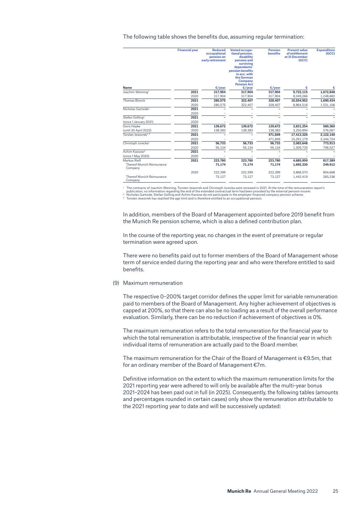The following table shows the benefits due, assuming regular termination:

|                                              | <b>Financial year</b> | <b>Reduced</b><br>occupational<br>pension on<br>early retirement | Vested occupa-<br>tional pension.<br>disability<br>pension and<br>surviving<br>dependants'<br>pension benefits<br>in acc. with<br>the German<br><b>Company</b><br><b>Pension Act</b> | <b>Pension</b><br><b>benefits</b> | <b>Present value</b><br>of entitlement<br>at 31 December<br>(GCC) | <b>Expenditure</b><br>(GCC) |
|----------------------------------------------|-----------------------|------------------------------------------------------------------|--------------------------------------------------------------------------------------------------------------------------------------------------------------------------------------|-----------------------------------|-------------------------------------------------------------------|-----------------------------|
| <b>Name</b>                                  |                       | E/year                                                           | E/year                                                                                                                                                                               | E/year                            | €                                                                 |                             |
| Joachim Wenning <sup>1</sup>                 | 2021                  | 317.904                                                          | 317.904                                                                                                                                                                              | 317.904                           | 9,722,115                                                         | 1,672,848                   |
|                                              | 2020                  | 317,904                                                          | 317,904                                                                                                                                                                              | 317,904                           | 8,049,266                                                         | 1,248,682                   |
| <b>Thomas Blunck</b>                         | 2021                  | 280,575                                                          | 322,407                                                                                                                                                                              | 328,407                           | 10,554,952                                                        | 1,690,434                   |
|                                              | 2020                  | 280,575                                                          | 322,407                                                                                                                                                                              | 328,407                           | 8,864,518                                                         | 1,531,106                   |
| Nicholas Gartside <sup>2</sup>               | 2021                  |                                                                  |                                                                                                                                                                                      |                                   |                                                                   |                             |
|                                              | 2020                  |                                                                  |                                                                                                                                                                                      |                                   |                                                                   |                             |
| Stefan Golling <sup>2</sup>                  | 2021                  |                                                                  |                                                                                                                                                                                      |                                   |                                                                   |                             |
| (since 1 January 2021)                       | 2020                  |                                                                  |                                                                                                                                                                                      |                                   |                                                                   |                             |
| Doris Höpke                                  | 2021                  | 139.672                                                          | 139,672                                                                                                                                                                              | 139,672                           | 3,831,254                                                         | 580,360                     |
| (until 30 April 2022)                        | 2020                  | 138,383                                                          | 138,383                                                                                                                                                                              | 138,383                           | 3,250,894                                                         | 576,067                     |
| Torsten Jeworrek <sup>1, 3</sup>             | 2021                  |                                                                  |                                                                                                                                                                                      | 471,849                           | 17,413,320                                                        | 2,122,140                   |
|                                              | 2020                  |                                                                  |                                                                                                                                                                                      | 471.849                           | 15,291,179                                                        | 2,344,724                   |
| Christoph Jurecka <sup>1</sup>               | 2021                  | 56.733                                                           | 56.733                                                                                                                                                                               | 56.733                            | 2,083,648                                                         | 773,913                     |
|                                              | 2020                  | 55,134                                                           | 55,134                                                                                                                                                                               | 55,134                            | 1,309,735                                                         | 706,527                     |
| Achim Kassow <sup>2</sup>                    | 2021                  |                                                                  |                                                                                                                                                                                      |                                   |                                                                   |                             |
| (since 1 May 2020)                           | 2020                  |                                                                  |                                                                                                                                                                                      |                                   |                                                                   |                             |
| Markus Rieß                                  | 2021                  | 223,780                                                          | 223,780                                                                                                                                                                              | 223,780                           | 4,685,959                                                         | 817,389                     |
| <b>Thereof Munich Reinsurance</b><br>Company |                       | 71,174                                                           | 71,174                                                                                                                                                                               | 71,174                            | 1,692,330                                                         | 249,912                     |
|                                              | 2020                  | 222.399                                                          | 222.399                                                                                                                                                                              | 222,399                           | 3,868,570                                                         | 804,668                     |
| <b>Thereof Munich Reinsurance</b><br>Company |                       | 73,127                                                           | 73,127                                                                                                                                                                               | 73,127                            | 1.442.419                                                         | 265,336                     |

<sup>1</sup> The contracts of Joachim Wenning, Torsten Jeworrek and Christoph Jurecka were renewed in 2021. At the time of the remuneration report's<br><sup>2</sup> Nicholas Gartside, Stefan Gelarding and Achim Kassow do not participate in the

In addition, members of the Board of Management appointed before 2019 benefit from the Munich Re pension scheme, which is also a defined contribution plan.

In the course of the reporting year, no changes in the event of premature or regular termination were agreed upon.

There were no benefits paid out to former members of the Board of Management whose term of service ended during the reporting year and who were therefore entitled to said benefits.

(9) Maximum remuneration

The respective 0–200% target corridor defines the upper limit for variable remuneration paid to members of the Board of Management. Any higher achievement of objectives is capped at 200%, so that there can also be no loading as a result of the overall performance evaluation. Similarly, there can be no reduction if achievement of objectives is 0%.

The maximum remuneration refers to the total remuneration for the financial year to which the total remuneration is attributable, irrespective of the financial year in which individual items of remuneration are actually paid to the Board member.

The maximum remuneration for the Chair of the Board of Management is €9.5m, that for an ordinary member of the Board of Management €7m.

Definitive information on the extent to which the maximum remuneration limits for the 2021 reporting year were adhered to will only be available after the multi-year bonus 2021–2024 has been paid out in full (in 2025). Consequently, the following tables (amounts and percentages rounded in certain cases) only show the remuneration attributable to the 2021 reporting year to date and will be successively updated: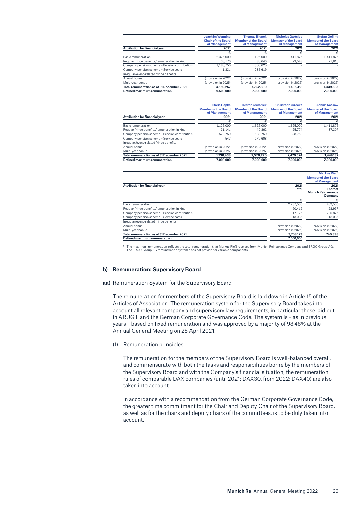|                                                                                               | <b>Joachim Wenning</b>     | <b>Thomas Blunck</b>       | <b>Nicholas Gartside</b>   | <b>Stefan Golling</b>                             |
|-----------------------------------------------------------------------------------------------|----------------------------|----------------------------|----------------------------|---------------------------------------------------|
|                                                                                               | <b>Chair of the Board</b>  | <b>Member of the Board</b> | <b>Member of the Board</b> | <b>Member of the Board</b>                        |
|                                                                                               | of Management              | of Management              | of Management              | of Management                                     |
| <b>Attribution for financial year</b>                                                         | 2021                       | 2021                       | 2021                       | 2021                                              |
|                                                                                               | €                          | €                          | €                          | €                                                 |
| Basic remuneration                                                                            | 2,325,000                  | 1,125,000                  | 1,411,875                  | 1,411,875                                         |
| Regular fringe benefits/remuneration in kind                                                  | 38.176                     | 35.646                     | 23.543                     | 27.810                                            |
| Company pension scheme - Pension contribution                                                 | 1,185,750                  | 365,625                    |                            |                                                   |
| Company pension scheme - Service costs                                                        | 1,331                      | 236,619                    |                            |                                                   |
| Irregular/event-related fringe benefits                                                       |                            |                            |                            |                                                   |
| Annual bonus                                                                                  | (provision in 2022)        | (provision in 2022)        | (provision in 2022)        | (provision in 2022)                               |
| Multi-vear bonus                                                                              | (provision in 2025)        | (provision in 2025)        | (provision in 2025)        | (provision in 2025)                               |
| Total remuneration as of 31 December 2021                                                     | 3,550,257                  | 1,762,890                  | 1,435,418                  | 1,439,685                                         |
| Defined maximum remuneration                                                                  | 9,500,000                  | 7,000,000                  | 7,000,000                  | 7,000,000                                         |
|                                                                                               | <b>Doris Höpke</b>         | <b>Torsten Jeworrek</b>    | <b>Christoph Jurecka</b>   | <b>Achim Kassow</b>                               |
|                                                                                               | <b>Member of the Board</b> | <b>Member of the Board</b> | <b>Member of the Board</b> | <b>Member of the Board</b>                        |
|                                                                                               | of Management              | of Management              | of Management              | of Management                                     |
| <b>Attribution for financial year</b>                                                         | 2021                       | 2021                       | 2021                       | 2021                                              |
|                                                                                               | €                          | €                          |                            | €                                                 |
| Basic remuneration                                                                            | 1,125,000                  | 1,625,000                  | 1,625,000                  | 1,411,875                                         |
| Regular fringe benefits/remuneration in kind                                                  | 31.141                     | 40,862                     | 25,774                     | 37.307                                            |
| Company pension scheme - Pension contribution                                                 | 573,750                    | 633,750                    | 828,750                    |                                                   |
| Company pension scheme - Service costs                                                        | 547                        | 270,608                    |                            |                                                   |
| Irregular/event-related fringe benefits                                                       |                            |                            |                            |                                                   |
| Annual bonus                                                                                  | (provision in 2022)        | (provision in 2022)        | (provision in 2022)        | (provision in 2022)                               |
| Multi-year bonus                                                                              | (provision in 2025)        | (provision in 2025)        | (provision in 2025)        | (provision in 2025)                               |
| Total remuneration as of 31 December 2021                                                     | 1,730,438                  | 2,570,220                  | 2,479,524                  | 1,449,182                                         |
| Defined maximum remuneration                                                                  | 7.000.000                  | 7.000.000                  | 7.000.000                  | 7.000.000                                         |
|                                                                                               |                            |                            |                            |                                                   |
|                                                                                               |                            |                            |                            | <b>Markus Rieß1</b><br><b>Member of the Board</b> |
|                                                                                               |                            |                            |                            | of Management                                     |
| <b>Attribution for financial year</b>                                                         |                            |                            | 2021                       | 2021                                              |
|                                                                                               |                            |                            | <b>Total</b>               | <b>Thereof</b>                                    |
|                                                                                               |                            |                            |                            | <b>Munich Reinsurance</b>                         |
|                                                                                               |                            |                            |                            | Company                                           |
|                                                                                               |                            |                            | €                          |                                                   |
|                                                                                               |                            |                            |                            |                                                   |
| Basic remuneration                                                                            |                            |                            | 2,787,500                  | 462,500                                           |
| Regular fringe benefits/remuneration in kind<br>Company pension scheme - Pension contribution |                            |                            | 90.412<br>817.125          | 28.937<br>235.875                                 |

' The maximum remuneration reflects the total remuneration that Markus Rieß receives from Munich Reinsurance Company and ERGO Group AG.<br>The ERGO Group AG remuneration system does not provide for variable components.

Multi-year bonus (provision in 2025) (provision in 2025) **Total remuneration as of 31 December 2021 3,708,123 740,398**

**Defined maximum remuneration 1,000,000** 

Company pension scheme – Service costs 13,086 13,086 13,086 13,086 13,086 13,086 13,086 13,086 13,086 13,086 13,086 13,086 13,086 13,086 13,086 13,086 13,086 13,086 13,086 13,086 13,086 13,086 13,086 13,086 13,086 13,086 1

#### **b) Remuneration: Supervisory Board**

Irregular/event-related fringe benefits

#### **aa)** Remuneration System for the Supervisory Board

The remuneration for members of the Supervisory Board is laid down in Article 15 of the Articles of Association. The remuneration system for the Supervisory Board takes into account all relevant company and supervisory law requirements, in particular those laid out in ARUG II and the German Corporate Governance Code. The system is – as in previous years – based on fixed remuneration and was approved by a majority of 98.48% at the Annual General Meeting on 28 April 2021.

(1) Remuneration principles

The remuneration for the members of the Supervisory Board is well-balanced overall, and commensurate with both the tasks and responsibilities borne by the members of the Supervisory Board and with the Company's financial situation; the remuneration rules of comparable DAX companies (until 2021: DAX30, from 2022: DAX40) are also taken into account.

In accordance with a recommendation from the German Corporate Governance Code, the greater time commitment for the Chair and Deputy Chair of the Supervisory Board, as well as for the chairs and deputy chairs of the committees, is to be duly taken into account.

 $\sqrt{(provision in 2022)}$  (provision in 2022)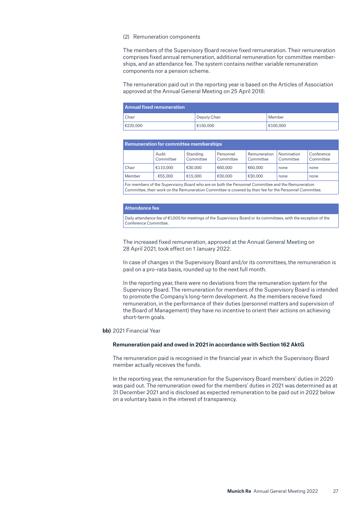#### (2) Remuneration components

The members of the Supervisory Board receive fixed remuneration. Their remuneration comprises fixed annual remuneration, additional remuneration for committee memberships, and an attendance fee. The system contains neither variable remuneration components nor a pension scheme.

The remuneration paid out in the reporting year is based on the Articles of Association approved at the Annual General Meeting on 25 April 2018:

| <b>Annual fixed remuneration</b> |              |          |  |  |  |  |  |
|----------------------------------|--------------|----------|--|--|--|--|--|
| Chair                            | Deputy Chair | Member   |  |  |  |  |  |
| €220,000                         | €150.000     | €100.000 |  |  |  |  |  |

| <b>Remuneration for committee memberships</b> |                    |                       |                        |                           |                         |                         |  |  |  |
|-----------------------------------------------|--------------------|-----------------------|------------------------|---------------------------|-------------------------|-------------------------|--|--|--|
|                                               | Audit<br>Committee | Standing<br>Committee | Personnel<br>Committee | Remuneration<br>Committee | Nomination<br>Committee | Conference<br>Committee |  |  |  |
| Chair                                         | €110.000           | €30.000               | €60.000                | €60.000                   | none                    | none                    |  |  |  |
| Member                                        | €55.000            | €15.000               | €30,000                | €30,000                   | none                    | none                    |  |  |  |

For members of the Supervisory Board who are on both the Personnel Committee and the Remuneration Committee, their work on the Remuneration Committee is covered by their fee for the Personnel Committee.

#### **Attendance fee**

Daily attendance fee of €1,000 for meetings of the Supervisory Board or its committees, with the exception of the Conference Committee.

The increased fixed remuneration, approved at the Annual General Meeting on 28 April 2021, took effect on 1 January 2022.

In case of changes in the Supervisory Board and/or its committees, the remuneration is paid on a pro-rata basis, rounded up to the next full month.

In the reporting year, there were no deviations from the remuneration system for the Supervisory Board. The remuneration for members of the Supervisory Board is intended to promote the Company's long-term development. As the members receive fixed remuneration, in the performance of their duties (personnel matters and supervision of the Board of Management) they have no incentive to orient their actions on achieving short-term goals.

**bb)** 2021 Financial Year

#### **Remuneration paid and owed in 2021 in accordance with Section 162 AktG**

The remuneration paid is recognised in the financial year in which the Supervisory Board member actually receives the funds.

In the reporting year, the remuneration for the Supervisory Board members' duties in 2020 was paid out. The remuneration owed for the members' duties in 2021 was determined as at 31 December 2021 and is disclosed as expected remuneration to be paid out in 2022 below on a voluntary basis in the interest of transparency.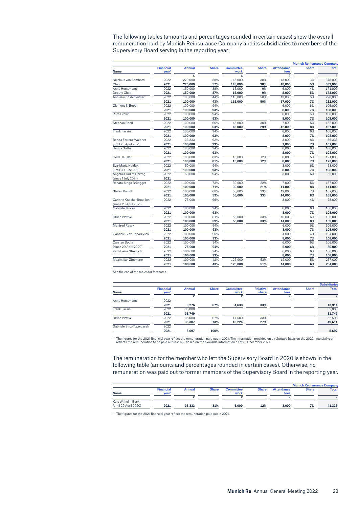The following tables (amounts and percentages rounded in certain cases) show the overall remuneration paid by Munich Reinsurance Company and its subsidiaries to members of the Supervisory Board serving in the reporting year:

|                                                   |                                       |               |              |                          |              |                           | <b>Munich Reinsurance Company</b> |              |
|---------------------------------------------------|---------------------------------------|---------------|--------------|--------------------------|--------------|---------------------------|-----------------------------------|--------------|
| <b>Name</b>                                       | <b>Financial</b><br>year <sup>1</sup> | <b>Annual</b> | <b>Share</b> | <b>Committee</b><br>work | <b>Share</b> | <b>Attendance</b><br>fees | <b>Share</b>                      | <b>Total</b> |
|                                                   |                                       | €             |              | €                        |              | €                         |                                   | €            |
| Nikolaus von Bomhard                              | 2022                                  | 220,000       | 58%          | 145,000                  | 38%          | 13,000                    | 3%                                | 378,000      |
| Chair                                             | 2021                                  | 220,000       | 57%          | 145,000                  | 38%          | 18,000                    | 5%                                | 383,000      |
| Anne Horstmann                                    | 2022                                  | 150.000       | 88%          | 15,000                   | 9%           | 6.000                     | 4%                                | 171,000      |
| Deputy Chair                                      | 2021                                  | 150,000       | 87%          | 15,000                   | 9%           | 8,000                     | 5%                                | 173,000      |
| Ann-Kristin Achleitner                            | 2022                                  | 100,000       | 44%          | 115,000                  | 50%          | 13,000                    | 6%                                | 228,000      |
|                                                   | 2021                                  | 100,000       | 43%          | 115,000                  | 50%          | 17,000                    | 7%                                | 232,000      |
| Clement B. Booth                                  | 2022                                  | 100,000       | 94%          |                          |              | 6,000                     | 6%                                | 106,000      |
|                                                   | 2021                                  | 100,000       | 93%          |                          |              | 8,000                     | 7%                                | 108,000      |
| Ruth Brown                                        | 2022                                  | 100,000       | 94%          |                          |              | 6,000                     | 6%                                | 106,000      |
|                                                   | 2021                                  | 100,000       | 93%          |                          |              | 8,000                     | 7%                                | 108,000      |
| Stephan Eberl                                     | 2022                                  | 100,000       | 66%          | 45.000                   | 30%          | 7,000                     | 5%                                | 152,000      |
|                                                   | 2021                                  | 100,000       | 64%          | 45,000                   | 29%          | 12,000                    | 8%                                | 157,000      |
| <b>Frank Fassin</b>                               | 2022                                  | 100,000       | 94%          |                          |              | 6,000                     | 6%                                | 106,000      |
|                                                   | 2021                                  | 100,000       | 93%          |                          |              | 8,000                     | 7%                                | 108,000      |
| Benita Ferrero-Waldner                            | 2022                                  | 33,333        | 92%          |                          |              | 3,000                     | 8%                                | 36,333       |
| (until 28 April 2021)                             | 2021                                  | 100,000       | 93%          |                          |              | 7,000                     | 7%                                | 107,000      |
| Ursula Gather                                     | 2022                                  | 100,000       | 94%          |                          |              | 6,000                     | 6%                                | 106,000      |
|                                                   | 2021                                  | 100,000       | 93%          |                          |              | 8,000                     | 7%                                | 108,000      |
| Gerd Häusler                                      | 2022                                  | 100,000       | 83%          | 15,000                   | 12%          | 6,000                     | 5%                                | 121,000      |
|                                                   | 2021                                  | 100,000       | 81%          | 15,000                   | 12%          | 8,000                     | 7%                                | 123,000      |
| Eva-Maria Haiduk                                  | 2022                                  | 50,000        | 94%          |                          |              | 3,000                     | 6%                                | 53,000       |
| (until 30 June 2021)                              | 2021                                  | 100,000       | 93%          |                          |              | 8,000                     | 7%                                | 108,000      |
| Angelika Judith Herzog                            | 2022                                  | 50,000        | 94%          |                          |              | 3,000                     | 6%                                | 53,000       |
| (since 1 July 2021)                               | 2021                                  |               |              |                          |              |                           |                                   |              |
| Renata Jungo Brüngger                             | 2022                                  | 100,000       | 73%          | 30,000                   | 22%          | 7,000                     | 5%                                | 137,000      |
|                                                   | 2021                                  | 100,000       | 71%          | 30,000                   | 21%          | 11,000                    | 8%                                | 141,000      |
| Stefan Kaindl                                     | 2022                                  | 100,000       | 60%          | 55,000                   | 33%          | 12,000                    | 7%                                | 167,000      |
|                                                   | 2021                                  | 100,000       | 59%          | 55,000                   | 33%          | 14,000                    | 8%                                | 169,000      |
| Carinne Knoche-Brouillon<br>(since 28 April 2021) | 2022                                  | 75,000        | 96%          |                          |              | 3,000                     | 4%                                | 78,000       |
| Gabriele Mücke                                    | 2022                                  | 100,000       | 94%          |                          |              | 6.000                     | 6%                                | 106,000      |
|                                                   | 2021                                  | 100,000       | 93%          |                          |              | 8,000                     | 7%                                | 108,000      |
| <b>Ulrich Plottke</b>                             | 2022                                  | 100,000       | 61%          | 55,000                   | 33%          | 10,000                    | 6%                                | 165,000      |
|                                                   | 2021                                  | 100,000       | 59%          | 55,000                   | 33%          | 14,000                    | 8%                                | 169,000      |
| <b>Manfred Rassy</b>                              | 2022                                  | 100,000       | 94%          |                          |              | 6,000                     | 6%                                | 106,000      |
|                                                   | 2021                                  | 100,000       | 93%          |                          |              | 8,000                     | 7%                                | 108,000      |
| Gabriele Sinz-Toporzysek                          | 2022                                  | 100,000       | 96%          |                          |              | 4,000                     | 4%                                | 104,000      |
|                                                   | 2021                                  | 100,000       | 93%          |                          |              | 8,000                     | 7%                                | 108,000      |
| Carsten Spohr                                     | 2022                                  | 100,000       | 94%          |                          |              | 6,000                     | 6%                                | 106,000      |
| (since 29 April 2020)                             | 2021                                  | 75,000        | 94%          |                          |              | 5,000                     | 6%                                | 80,000       |
| Karl-Heinz Streibich                              | 2022                                  | 100,000       | 94%          |                          |              | 6,000                     | 6%                                | 106,000      |
|                                                   | 2021                                  | 100,000       | 93%          |                          |              | 8,000                     | 7%                                | 108,000      |
| Maximilian Zimmerer                               | 2022                                  | 100,000       | 42%          | 125,000                  | 53%          | 12,000                    | 5%                                | 237,000      |
|                                                   | 2021                                  | 100,000       | 43%          | 120,000                  | 51%          | 14,000                    | 6%                                | 234,000      |

See the end of the tables for footnotes.

|                          |                                       |               |              |                          |                          |                           |              | <b>Subsidiaries</b> |
|--------------------------|---------------------------------------|---------------|--------------|--------------------------|--------------------------|---------------------------|--------------|---------------------|
| Name                     | <b>Financial</b><br>year <sup>1</sup> | <b>Annual</b> | <b>Share</b> | <b>Committee</b><br>work | <b>Relative</b><br>share | <b>Attendance</b><br>fees | <b>Share</b> | <b>Total</b>        |
|                          |                                       |               |              |                          |                          | €                         |              | €                   |
| Anne Horstmann           | 2022                                  |               |              |                          |                          |                           |              |                     |
|                          | 2021                                  | 9.276         | 67%          | 4,638                    | 33%                      |                           |              | 13,914              |
| Frank Fassin             | 2022                                  | 35,000        |              |                          |                          |                           |              | 35,000              |
|                          | 2021                                  | 31,749        |              |                          |                          |                           |              | 31,749              |
| Ulrich Plottke           | 2022                                  | 35,000        | 67%          | 17,500                   | 33%                      |                           |              | 52,500              |
|                          | 2021                                  | 36,387        | 73%          | 13,224                   | 27%                      |                           |              | 49,611              |
| Gabriele Sinz-Toporzysek | 2022                                  |               |              |                          |                          |                           |              |                     |
|                          | 2021                                  | 5.697         | 100%         |                          |                          |                           |              | 5.697               |

The figures for the 2021 financial year reflect the remuneration paid out in 2021. The information provided on a voluntary basis on the 2022 financial year reflects the remuneration to be paid out in 2022, based on the ava

The remuneration for the member who left the Supervisory Board in 2020 is shown in the following table (amounts and percentages rounded in certain cases). Otherwise, no remuneration was paid out to former members of the Supervisory Board in the reporting year.

|                       |                   |        |              |                  |              |                   | <b>Munich Reinsurance Company</b> |              |
|-----------------------|-------------------|--------|--------------|------------------|--------------|-------------------|-----------------------------------|--------------|
|                       | <b>Financial</b>  | Annual | <b>Share</b> | <b>Committee</b> | <b>Share</b> | <b>Attendance</b> | <b>Share</b>                      | <b>Total</b> |
| <b>Name</b>           | vear <sup>1</sup> |        |              | work             |              | fees              |                                   |              |
|                       |                   |        |              |                  |              |                   |                                   |              |
| Kurt Wilhelm Bock     |                   |        |              |                  |              |                   |                                   |              |
| (until 29 April 2020) | 2021              | 33.333 | 81%          | 5.000            | 12%          | 3.000             | 7%                                | 41.333       |

1 The figures for the 2021 financial year reflect the remuneration paid out in 2021.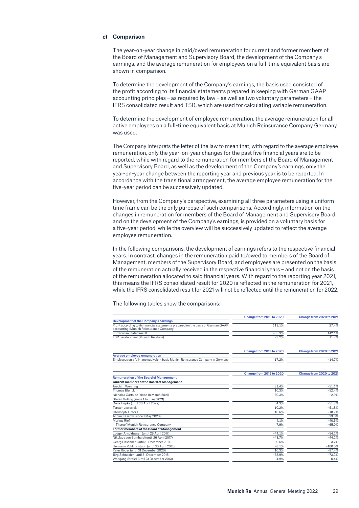### **c) Comparison**

The year-on-year change in paid/owed remuneration for current and former members of the Board of Management and Supervisory Board, the development of the Company's earnings, and the average remuneration for employees on a full-time equivalent basis are shown in comparison.

To determine the development of the Company's earnings, the basis used consisted of the profit according to its financial statements prepared in keeping with German GAAP accounting principles – as required by law – as well as two voluntary parameters – the IFRS consolidated result and TSR, which are used for calculating variable remuneration.

To determine the development of employee remuneration, the average remuneration for all active employees on a full-time equivalent basis at Munich Reinsurance Company Germany was used.

The Company interprets the letter of the law to mean that, with regard to the average employee remuneration, only the year-on-year changes for the past five financial years are to be reported, while with regard to the remuneration for members of the Board of Management and Supervisory Board, as well as the development of the Company's earnings, only the year-on-year change between the reporting year and previous year is to be reported. In accordance with the transitional arrangement, the average employee remuneration for the five-year period can be successively updated.

However, from the Company's perspective, examining all three parameters using a uniform time frame can be the only purpose of such comparisons. Accordingly, information on the changes in remuneration for members of the Board of Management and Supervisory Board, and on the development of the Company's earnings, is provided on a voluntary basis for a five-year period, while the overview will be successively updated to reflect the average employee remuneration.

In the following comparisons, the development of earnings refers to the respective financial years. In contrast, changes in the remuneration paid to/owed to members of the Board of Management, members of the Supervisory Board, and employees are presented on the basis of the remuneration actually received in the respective financial years – and not on the basis of the remuneration allocated to said financial years. With regard to the reporting year 2021, this means the IFRS consolidated result for 2020 is reflected in the remuneration for 2021, while the IFRS consolidated result for 2021 will not be reflected until the remuneration for 2022.

The following tables show the comparisons:

|                                                                                                                              | Change from 2019 to 2020 | Change from 2020 to 2021 |
|------------------------------------------------------------------------------------------------------------------------------|--------------------------|--------------------------|
| Development of the Company's earnings                                                                                        |                          |                          |
| Profit according to its financial statements prepared on the basis of German GAAP<br>accounting (Munich Reinsurance Company) | 113.1%                   | 27.4%                    |
| <b>IFRS</b> consolidated result                                                                                              | $-55.3%$                 | 142.1%                   |
| TSR development (Munich Re share)                                                                                            | $-3.2%$                  | 11.7%                    |
|                                                                                                                              | Change from 2019 to 2020 | Change from 2020 to 2021 |
| <b>Average employee remuneration</b>                                                                                         |                          |                          |
| Employees on a full-time equivalent basis Munich Reinsurance Company in Germany                                              | 17.2%                    | $-14.7%$                 |
|                                                                                                                              | Change from 2019 to 2020 | Change from 2020 to 2021 |
| <b>Remuneration of the Board of Management</b>                                                                               |                          |                          |
| <b>Current members of the Board of Management</b>                                                                            |                          |                          |
| Joachim Wenning                                                                                                              | 31.4%                    | $-51.1%$                 |
| <b>Thomas Blunck</b>                                                                                                         | 10.3%                    | $-52.4%$                 |
| Nicholas Gartside (since 18 March 2019)                                                                                      | 70.3%                    | $-2.9%$                  |
| Stefan Golling (since 1 January 2021)                                                                                        |                          |                          |
| Doris Höpke (until 30 April 2022)                                                                                            | 4.3%                     | $-51.7%$                 |
| Torsten Jeworrek                                                                                                             | 10.2%                    | $-51.8%$                 |
| Christoph Jurecka                                                                                                            | 10.6%                    | $-18.7%$                 |
| Achim Kassow (since 1 May 2020)                                                                                              |                          | 23.0%                    |
| Markus Rieß                                                                                                                  | 4.1%                     | $-40.5%$                 |
| Thereof Munich Reinsurance Company                                                                                           | 7.9%                     | $-65.0%$                 |
| <b>Former members of the Board of Management</b>                                                                             |                          |                          |
| Ludger Arnoldussen (until 26 April 2017)                                                                                     | $-44.1%$                 | $-54.2%$                 |
| Nikolaus von Bomhard (until 26 April 2017)                                                                                   | $-48.7%$                 | $-44.2%$                 |
| Georg Daschner (until 31 December 2014)                                                                                      | $-0.6%$                  | 3.2%                     |
| Hermann Pohlchristoph (until 30 April 2020)                                                                                  | $-8.1%$                  | $-100.0%$                |
| Peter Röder (until 31 December 2020)                                                                                         | 10.3%                    | $-87.4%$                 |
| Jörg Schneider (until 31 December 2018)                                                                                      | $-33.9%$                 | $-73.3%$                 |
| Wolfgang Strassl (until 31 December 2013)                                                                                    | 4.9%                     | 0.4%                     |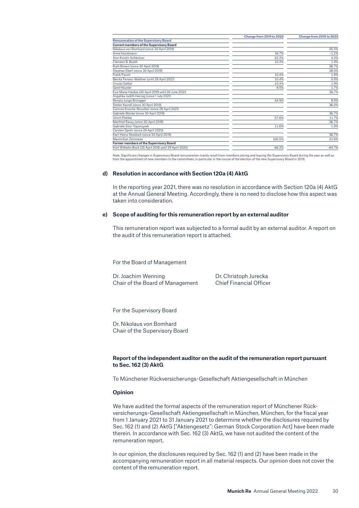|                                                       | Change from 2019 to 2020 | Change from 2019 to 2020 |
|-------------------------------------------------------|--------------------------|--------------------------|
| <b>Remuneration of the Supervisory Board</b>          |                          |                          |
| <b>Current members of the Supervisory Board</b>       |                          |                          |
| Nikolaus von Bomhard (since 30 April 2019)            |                          | 35.5%                    |
| Anne Horstmann                                        | 16.7%                    | $-1.2%$                  |
| Ann-Kristin Achleitner                                | 22.3%                    | 4.3%                     |
| Clement B. Booth                                      | 10.4%                    | 1.9%                     |
| Ruth Brown (since 30 April 2019)                      |                          | 36.7%                    |
| Stephan Eberl (since 30 April 2019)                   |                          | 38.0%                    |
| Frank Fassin                                          | 10.4%                    | 1.9%                     |
| Benita Ferrero-Waldner (until 28 April 2021)          | 10.4%                    | 0.9%                     |
| Ursula Gather                                         | 10.4%                    | 1.9%                     |
| Gerd Häusler                                          | 9.5%                     | 1.7%                     |
| Eva-Maria Haiduk (30 April 2019 until 30 June 2021)   |                          | 36.7%                    |
| Angelika Judith Herzog (since 1 July 2021)            |                          |                          |
| Renata Jungo Brüngger                                 | 34.9%                    | 8.9%                     |
| Stefan Kaindl (since 30 April 2019)                   |                          | 36.0%                    |
| Carinne Knoche-Brouillon (since 28 April 2021)        |                          |                          |
| Gabriele Mücke (since 30 April 2019)                  |                          | 36.7%                    |
| Ulrich Plottke                                        | 57.6%                    | 11.7%                    |
| Manfred Rassy (since 30 April 2019)                   |                          | 36.7%                    |
| Gabriele Sinz-Toporzysek                              | 11.6%                    | 1.9%                     |
| Carsten Spohr (since 29 April 2020)                   |                          |                          |
| Karl-Heinz Streibich (since 30 April 2019)            |                          | 36.7%                    |
| Maximilian 7immerer                                   | 100.5%                   | 21.6%                    |
| Former members of the Supervisory Board               |                          |                          |
| Kurt Wilhelm Bock (25 April 2018 until 29 April 2020) | 66.3%                    | $-64.7%$                 |
|                                                       |                          |                          |

Note: Significant changes in Supervisory Board remuneration mainly result from members joining and leaving the<br>from the appointment of new members to the committees, in particular in the course of the election of the new S

#### **d) Resolution in accordance with Section 120a (4) AktG**

In the reporting year 2021, there was no resolution in accordance with Section 120a (4) AktG at the Annual General Meeting. Accordingly, there is no need to disclose how this aspect was taken into consideration.

### **e) Scope of auditing for this remuneration report by an external auditor**

This remuneration report was subjected to a formal audit by an external auditor. A report on the audit of this remuneration report is attached.

For the Board of Management

Dr. Joachim Wenning Dr. Christoph Jurecka Chair of the Board of Management Chief Financial Officer

For the Supervisory Board

Dr. Nikolaus von Bomhard Chair of the Supervisory Board

### **Report of the independent auditor on the audit of the remuneration report pursuant to Sec. 162 (3) AktG**

To Münchener Rückversicherungs-Gesellschaft Aktiengesellschaft in München

### **Opinion**

We have audited the formal aspects of the remuneration report of Münchener Rückversicherungs-Gesellschaft Aktiengesellschaft in München, München, for the fiscal year from 1 January 2021 to 31 January 2021 to determine whether the disclosures required by Sec. 162 (1) and (2) AktG ["Aktiengesetz": German Stock Corporation Act] have been made therein. In accordance with Sec. 162 (3) AktG, we have not audited the content of the remuneration report.

In our opinion, the disclosures required by Sec. 162 (1) and (2) have been made in the accompanying remuneration report in all material respects. Our opinion does not cover the content of the remuneration report.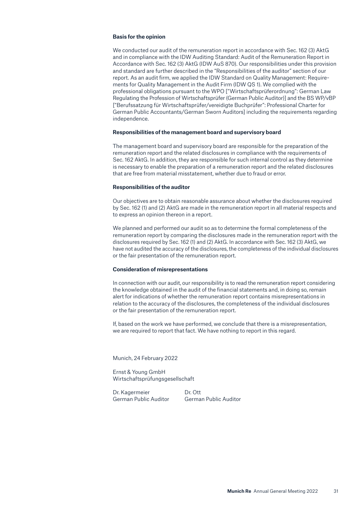### **Basis for the opinion**

We conducted our audit of the remuneration report in accordance with Sec. 162 (3) AktG and in compliance with the IDW Auditing Standard: Audit of the Remuneration Report in Accordance with Sec. 162 (3) AktG (IDW AuS 870). Our responsibilities under this provision and standard are further described in the "Responsibilities of the auditor" section of our report. As an audit firm, we applied the IDW Standard on Quality Management: Requirements for Quality Management in the Audit Firm (IDW QS 1). We complied with the professional obligations pursuant to the WPO ["Wirtschaftsprüferordnung": German Law Regulating the Profession of Wirtschaftsprüfer (German Public Auditor)] and the BS WP/vBP ["Berufssatzung für Wirtschaftsprüfer/vereidigte Buchprüfer": Professional Charter for German Public Accountants/German Sworn Auditors] including the requirements regarding independence.

#### **Responsibilities of the management board and supervisory board**

The management board and supervisory board are responsible for the preparation of the remuneration report and the related disclosures in compliance with the requirements of Sec. 162 AktG. In addition, they are responsible for such internal control as they determine is necessary to enable the preparation of a remuneration report and the related disclosures that are free from material misstatement, whether due to fraud or error.

#### **Responsibilities of the auditor**

Our objectives are to obtain reasonable assurance about whether the disclosures required by Sec. 162 (1) and (2) AktG are made in the remuneration report in all material respects and to express an opinion thereon in a report.

We planned and performed our audit so as to determine the formal completeness of the remuneration report by comparing the disclosures made in the remuneration report with the disclosures required by Sec. 162 (1) and (2) AktG. In accordance with Sec. 162 (3) AktG, we have not audited the accuracy of the disclosures, the completeness of the individual disclosures or the fair presentation of the remuneration report.

#### **Consideration of misrepresentations**

In connection with our audit, our responsibility is to read the remuneration report considering the knowledge obtained in the audit of the financial statements and, in doing so, remain alert for indications of whether the remuneration report contains misrepresentations in relation to the accuracy of the disclosures, the completeness of the individual disclosures or the fair presentation of the remuneration report.

If, based on the work we have performed, we conclude that there is a misrepresentation, we are required to report that fact. We have nothing to report in this regard.

Munich, 24 February 2022

Ernst & Young GmbH Wirtschaftsprüfungsgesellschaft

Dr. Kagermeier Dr. Ott German Public Auditor German Public Auditor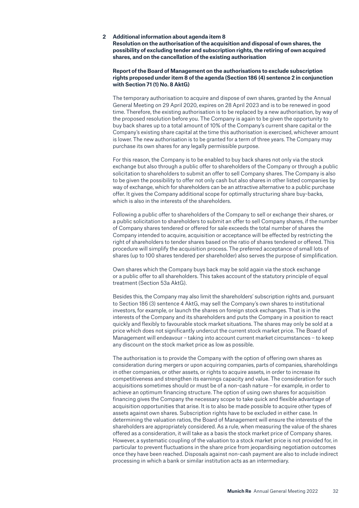<span id="page-31-0"></span>**2 Additional information about agenda item 8 Resolution on the authorisation of the acquisition and disposal of own shares, the possibility of excluding tender and subscription rights, the retiring of own acquired shares, and on the cancellation of the existing authorisation**

### **Report of the Board of Management on the authorisations to exclude subscription rights proposed under item 8 of the agenda (Section 186 (4) sentence 2 in conjunction with Section 71 (1) No. 8 AktG)**

The temporary authorisation to acquire and dispose of own shares, granted by the Annual General Meeting on 29 April 2020, expires on 28 April 2023 and is to be renewed in good time. Therefore, the existing authorisation is to be replaced by a new authorisation, by way of the proposed resolution before you. The Company is again to be given the opportunity to buy back shares up to a total amount of 10% of the Company's current share capital or the Company's existing share capital at the time this authorisation is exercised, whichever amount is lower. The new authorisation is to be granted for a term of three years. The Company may purchase its own shares for any legally permissible purpose.

For this reason, the Company is to be enabled to buy back shares not only via the stock exchange but also through a public offer to shareholders of the Company or through a public solicitation to shareholders to submit an offer to sell Company shares. The Company is also to be given the possibility to offer not only cash but also shares in other listed companies by way of exchange, which for shareholders can be an attractive alternative to a public purchase offer. It gives the Company additional scope for optimally structuring share buy-backs, which is also in the interests of the shareholders.

Following a public offer to shareholders of the Company to sell or exchange their shares, or a public solicitation to shareholders to submit an offer to sell Company shares, if the number of Company shares tendered or offered for sale exceeds the total number of shares the Company intended to acquire, acquisition or acceptance will be effected by restricting the right of shareholders to tender shares based on the ratio of shares tendered or offered. This procedure will simplify the acquisition process. The preferred acceptance of small lots of shares (up to 100 shares tendered per shareholder) also serves the purpose of simplification.

Own shares which the Company buys back may be sold again via the stock exchange or a public offer to all shareholders. This takes account of the statutory principle of equal treatment (Section 53a AktG).

Besides this, the Company may also limit the shareholders' subscription rights and, pursuant to Section 186 (3) sentence 4 AktG, may sell the Company's own shares to institutional investors, for example, or launch the shares on foreign stock exchanges. That is in the interests of the Company and its shareholders and puts the Company in a position to react quickly and flexibly to favourable stock market situations. The shares may only be sold at a price which does not significantly undercut the current stock market price. The Board of Management will endeavour – taking into account current market circumstances – to keep any discount on the stock market price as low as possible.

The authorisation is to provide the Company with the option of offering own shares as consideration during mergers or upon acquiring companies, parts of companies, shareholdings in other companies, or other assets, or rights to acquire assets, in order to increase its competitiveness and strengthen its earnings capacity and value. The consideration for such acquisitions sometimes should or must be of a non-cash nature – for example, in order to achieve an optimum financing structure. The option of using own shares for acquisition financing gives the Company the necessary scope to take quick and flexible advantage of acquisition opportunities that arise. It is to also be made possible to acquire other types of assets against own shares. Subscription rights have to be excluded in either case. In determining the valuation ratios, the Board of Management will ensure the interests of the shareholders are appropriately considered. As a rule, when measuring the value of the shares offered as a consideration, it will take as a basis the stock market price of Company shares. However, a systematic coupling of the valuation to a stock market price is not provided for, in particular to prevent fluctuations in the share price from jeopardising negotiation outcomes once they have been reached. Disposals against non-cash payment are also to include indirect processing in which a bank or similar institution acts as an intermediary.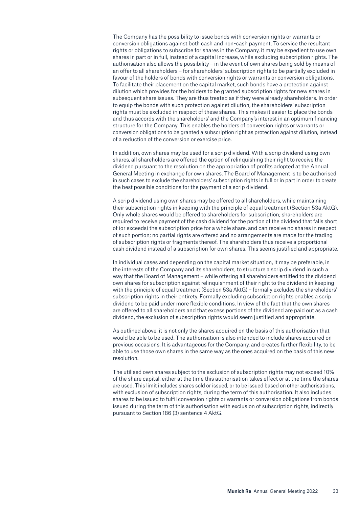The Company has the possibility to issue bonds with conversion rights or warrants or conversion obligations against both cash and non-cash payment. To service the resultant rights or obligations to subscribe for shares in the Company, it may be expedient to use own shares in part or in full, instead of a capital increase, while excluding subscription rights. The authorisation also allows the possibility – in the event of own shares being sold by means of an offer to all shareholders – for shareholders' subscription rights to be partially excluded in favour of the holders of bonds with conversion rights or warrants or conversion obligations. To facilitate their placement on the capital market, such bonds have a protection against dilution which provides for the holders to be granted subscription rights for new shares in subsequent share issues. They are thus treated as if they were already shareholders. In order to equip the bonds with such protection against dilution, the shareholders' subscription rights must be excluded in respect of these shares. This makes it easier to place the bonds and thus accords with the shareholders' and the Company's interest in an optimum financing structure for the Company. This enables the holders of conversion rights or warrants or conversion obligations to be granted a subscription right as protection against dilution, instead of a reduction of the conversion or exercise price.

In addition, own shares may be used for a scrip dividend. With a scrip dividend using own shares, all shareholders are offered the option of relinquishing their right to receive the dividend pursuant to the resolution on the appropriation of profits adopted at the Annual General Meeting in exchange for own shares. The Board of Management is to be authorised in such cases to exclude the shareholders' subscription rights in full or in part in order to create the best possible conditions for the payment of a scrip dividend.

A scrip dividend using own shares may be offered to all shareholders, while maintaining their subscription rights in keeping with the principle of equal treatment (Section 53a AktG). Only whole shares would be offered to shareholders for subscription; shareholders are required to receive payment of the cash dividend for the portion of the dividend that falls short of (or exceeds) the subscription price for a whole share, and can receive no shares in respect of such portion; no partial rights are offered and no arrangements are made for the trading of subscription rights or fragments thereof. The shareholders thus receive a proportional cash dividend instead of a subscription for own shares. This seems justified and appropriate.

In individual cases and depending on the capital market situation, it may be preferable, in the interests of the Company and its shareholders, to structure a scrip dividend in such a way that the Board of Management – while offering all shareholders entitled to the dividend own shares for subscription against relinquishment of their right to the dividend in keeping with the principle of equal treatment (Section 53a AktG) – formally excludes the shareholders' subscription rights in their entirety. Formally excluding subscription rights enables a scrip dividend to be paid under more flexible conditions. In view of the fact that the own shares are offered to all shareholders and that excess portions of the dividend are paid out as a cash dividend, the exclusion of subscription rights would seem justified and appropriate.

As outlined above, it is not only the shares acquired on the basis of this authorisation that would be able to be used. The authorisation is also intended to include shares acquired on previous occasions. It is advantageous for the Company, and creates further flexibility, to be able to use those own shares in the same way as the ones acquired on the basis of this new resolution.

The utilised own shares subject to the exclusion of subscription rights may not exceed 10% of the share capital, either at the time this authorisation takes effect or at the time the shares are used. This limit includes shares sold or issued, or to be issued based on other authorisations, with exclusion of subscription rights, during the term of this authorisation. It also includes shares to be issued to fulfil conversion rights or warrants or conversion obligations from bonds issued during the term of this authorisation with exclusion of subscription rights, indirectly pursuant to Section 186 (3) sentence 4 AktG.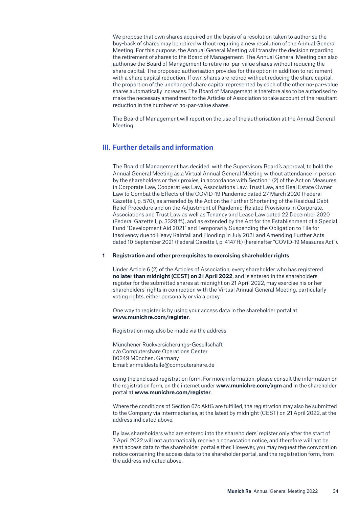<span id="page-33-0"></span>We propose that own shares acquired on the basis of a resolution taken to authorise the buy-back of shares may be retired without requiring a new resolution of the Annual General Meeting. For this purpose, the Annual General Meeting will transfer the decision regarding the retirement of shares to the Board of Management. The Annual General Meeting can also authorise the Board of Management to retire no-par-value shares without reducing the share capital. The proposed authorisation provides for this option in addition to retirement with a share capital reduction. If own shares are retired without reducing the share capital, the proportion of the unchanged share capital represented by each of the other no-par-value shares automatically increases. The Board of Management is therefore also to be authorised to make the necessary amendment to the Articles of Association to take account of the resultant reduction in the number of no-par-value shares.

The Board of Management will report on the use of the authorisation at the Annual General Meeting.

# **III. Further details and information**

The Board of Management has decided, with the Supervisory Board's approval, to hold the Annual General Meeting as a Virtual Annual General Meeting without attendance in person by the shareholders or their proxies, in accordance with Section 1 (2) of the Act on Measures in Corporate Law, Cooperatives Law, Associations Law, Trust Law, and Real Estate Owner Law to Combat the Effects of the COVID-19 Pandemic dated 27 March 2020 (Federal Gazette I, p. 570), as amended by the Act on the Further Shortening of the Residual Debt Relief Procedure and on the Adjustment of Pandemic-Related Provisions in Corporate, Associations and Trust Law as well as Tenancy and Lease Law dated 22 December 2020 (Federal Gazette I, p. 3328 ff.), and as extended by the Act for the Establishment of a Special Fund "Development Aid 2021" and Temporarily Suspending the Obligation to File for Insolvency due to Heavy Rainfall and Flooding in July 2021 and Amending Further Acts dated 10 September 2021 (Federal Gazette I, p. 4147 ff.) (hereinafter "COVID-19 Measures Act").

#### **1 Registration and other prerequisites to exercising shareholder rights**

Under Article 6 (2) of the Articles of Association, every shareholder who has registered **no later than midnight (CEST) on 21 April 2022**, and is entered in the shareholders' register for the submitted shares at midnight on 21 April 2022, may exercise his or her shareholders' rights in connection with the Virtual Annual General Meeting, particularly voting rights, either personally or via a proxy.

One way to register is by using your access data in the shareholder portal at **www.munichre.com/register**.

Registration may also be made via the address

Münchener Rückversicherungs-Gesellschaft c/o Computershare Operations Center 80249 München, Germany Email: anmeldestelle@computershare.de

using the enclosed registration form. For more information, please consult the information on the registration form, on the internet under **www.munichre.com/agm** and in the shareholder portal at **www.munichre.com/register**.

Where the conditions of Section 67c AktG are fulfilled, the registration may also be submitted to the Company via intermediaries, at the latest by midnight (CEST) on 21 April 2022, at the address indicated above.

By law, shareholders who are entered into the shareholders' register only after the start of 7 April 2022 will not automatically receive a convocation notice, and therefore will not be sent access data to the shareholder portal either. However, you may request the convocation notice containing the access data to the shareholder portal, and the registration form, from the address indicated above.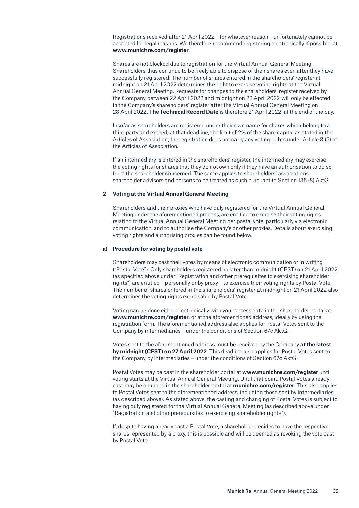<span id="page-34-0"></span>Registrations received after 21 April 2022 – for whatever reason – unfortunately cannot be accepted for legal reasons. We therefore recommend registering electronically if possible, at **www.munichre.com/register**.

Shares are not blocked due to registration for the Virtual Annual General Meeting. Shareholders thus continue to be freely able to dispose of their shares even after they have successfully registered. The number of shares entered in the shareholders' register at midnight on 21 April 2022 determines the right to exercise voting rights at the Virtual Annual General Meeting. Requests for changes to the shareholders' register received by the Company between 22 April 2022 and midnight on 28 April 2022 will only be effected in the Company's shareholders' register after the Virtual Annual General Meeting on 28 April 2022. **The Technical Record Date** is therefore 21 April 2022, at the end of the day.

Insofar as shareholders are registered under their own name for shares which belong to a third party and exceed, at that deadline, the limit of 2% of the share capital as stated in the Articles of Association, the registration does not carry any voting rights under Article 3 (5) of the Articles of Association.

If an intermediary is entered in the shareholders' register, the intermediary may exercise the voting rights for shares that they do not own only if they have an authorisation to do so from the shareholder concerned. The same applies to shareholders' associations, shareholder advisors and persons to be treated as such pursuant to Section 135 (8) AktG.

#### **2 Voting at the Virtual Annual General Meeting**

Shareholders and their proxies who have duly registered for the Virtual Annual General Meeting under the aforementioned process, are entitled to exercise their voting rights relating to the Virtual Annual General Meeting per postal vote, particularly via electronic communication, and to authorise the Company's or other proxies. Details about exercising voting rights and authorising proxies can be found below.

#### **a) Procedure for voting by postal vote**

Shareholders may cast their votes by means of electronic communication or in writing ("Postal Vote"). Only shareholders registered no later than midnight (CEST) on 21 April 2022 (as specified above under "Registration and other prerequisites to exercising shareholder rights") are entitled – personally or by proxy – to exercise their voting rights by Postal Vote. The number of shares entered in the shareholders' register at midnight on 21 April 2022 also determines the voting rights exercisable by Postal Vote.

Voting can be done either electronically with your access data in the shareholder portal at **www.munichre.com/register**, or at the aforementioned address, ideally by using the registration form. The aforementioned address also applies for Postal Votes sent to the Company by intermediaries – under the conditions of Section 67c AktG.

Votes sent to the aforementioned address must be received by the Company **at the latest by midnight (CEST) on 27 April 2022**. This deadline also applies for Postal Votes sent to the Company by intermediaries – under the conditions of Section 67c AktG.

Postal Votes may be cast in the shareholder portal at **www.munichre.com/register** until voting starts at the Virtual Annual General Meeting. Until that point, Postal Votes already cast may be changed in the shareholder portal at **munichre.com/register**. This also applies to Postal Votes sent to the aforementioned address, including those sent by intermediaries (as described above). As stated above, the casting and changing of Postal Votes is subject to having duly registered for the Virtual Annual General Meeting (as described above under "Registration and other prerequisites to exercising shareholder rights").

If, despite having already cast a Postal Vote, a shareholder decides to have the respective shares represented by a proxy, this is possible and will be deemed as revoking the vote cast by Postal Vote.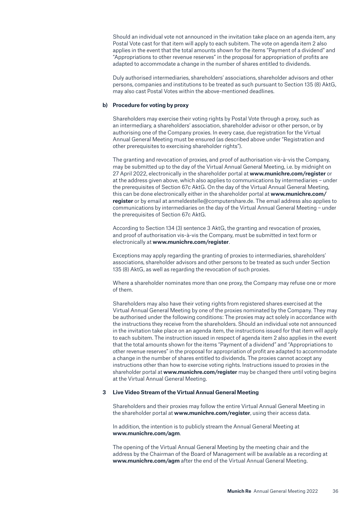<span id="page-35-0"></span>Should an individual vote not announced in the invitation take place on an agenda item, any Postal Vote cast for that item will apply to each subitem. The vote on agenda item 2 also applies in the event that the total amounts shown for the items "Payment of a dividend" and "Appropriations to other revenue reserves" in the proposal for appropriation of profits are adapted to accommodate a change in the number of shares entitled to dividends.

Duly authorised intermediaries, shareholders' associations, shareholder advisors and other persons, companies and institutions to be treated as such pursuant to Section 135 (8) AktG, may also cast Postal Votes within the above-mentioned deadlines.

### **b) Procedure for voting by proxy**

Shareholders may exercise their voting rights by Postal Vote through a proxy, such as an intermediary, a shareholders' association, shareholder advisor or other person, or by authorising one of the Company proxies. In every case, due registration for the Virtual Annual General Meeting must be ensured (as described above under "Registration and other prerequisites to exercising shareholder rights").

The granting and revocation of proxies, and proof of authorisation vis-à-vis the Company, may be submitted up to the day of the Virtual Annual General Meeting, i.e. by midnight on 27 April 2022, electronically in the shareholder portal at **www.munichre.com/register** or at the address given above, which also applies to communications by intermediaries – under the prerequisites of Section 67c AktG. On the day of the Virtual Annual General Meeting, this can be done electronically either in the shareholder portal at **www.munichre.com/ register** or by email at anmeldestelle@computershare.de. The email address also applies to communications by intermediaries on the day of the Virtual Annual General Meeting – under the prerequisites of Section 67c AktG.

According to Section 134 (3) sentence 3 AktG, the granting and revocation of proxies, and proof of authorisation vis-à-vis the Company, must be submitted in text form or electronically at **www.munichre.com/register**.

Exceptions may apply regarding the granting of proxies to intermediaries, shareholders' associations, shareholder advisors and other persons to be treated as such under Section 135 (8) AktG, as well as regarding the revocation of such proxies.

Where a shareholder nominates more than one proxy, the Company may refuse one or more of them.

Shareholders may also have their voting rights from registered shares exercised at the Virtual Annual General Meeting by one of the proxies nominated by the Company. They may be authorised under the following conditions: The proxies may act solely in accordance with the instructions they receive from the shareholders. Should an individual vote not announced in the invitation take place on an agenda item, the instructions issued for that item will apply to each subitem. The instruction issued in respect of agenda item 2 also applies in the event that the total amounts shown for the items "Payment of a dividend" and "Appropriations to other revenue reserves" in the proposal for appropriation of profit are adapted to accommodate a change in the number of shares entitled to dividends. The proxies cannot accept any instructions other than how to exercise voting rights. Instructions issued to proxies in the shareholder portal at **www.munichre.com/register** may be changed there until voting begins at the Virtual Annual General Meeting.

### **3 Live Video Stream of the Virtual Annual General Meeting**

Shareholders and their proxies may follow the entire Virtual Annual General Meeting in the shareholder portal at **www.munichre.com/register**, using their access data.

In addition, the intention is to publicly stream the Annual General Meeting at **www.munichre.com/agm**.

The opening of the Virtual Annual General Meeting by the meeting chair and the address by the Chairman of the Board of Management will be available as a recording at **www.munichre.com/agm** after the end of the Virtual Annual General Meeting.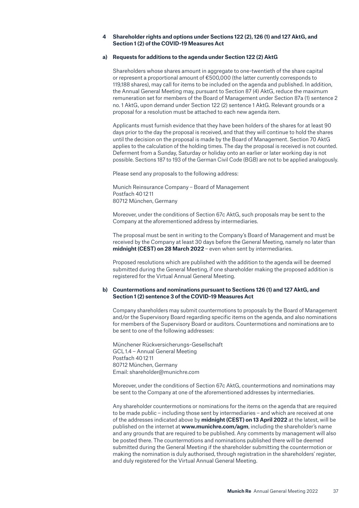### <span id="page-36-0"></span>**4 Shareholder rights and options under Sections 122 (2), 126 (1) and 127 AktG, and Section 1 (2) of the COVID-19 Measures Act**

### **a) Requests for additions to the agenda under Section 122 (2) AktG**

Shareholders whose shares amount in aggregate to one-twentieth of the share capital or represent a proportional amount of €500,000 (the latter currently corresponds to 119,188 shares), may call for items to be included on the agenda and published. In addition, the Annual General Meeting may, pursuant to Section 87 (4) AktG, reduce the maximum remuneration set for members of the Board of Management under Section 87a (1) sentence 2 no. 1 AktG, upon demand under Section 122 (2) sentence 1 AktG. Relevant grounds or a proposal for a resolution must be attached to each new agenda item.

Applicants must furnish evidence that they have been holders of the shares for at least 90 days prior to the day the proposal is received, and that they will continue to hold the shares until the decision on the proposal is made by the Board of Management. Section 70 AktG applies to the calculation of the holding times. The day the proposal is received is not counted. Deferment from a Sunday, Saturday or holiday onto an earlier or later working day is not possible. Sections 187 to 193 of the German Civil Code (BGB) are not to be applied analogously.

Please send any proposals to the following address:

Munich Reinsurance Company – Board of Management Postfach 40 12 11 80712 München, Germany

Moreover, under the conditions of Section 67c AktG, such proposals may be sent to the Company at the aforementioned address by intermediaries.

The proposal must be sent in writing to the Company's Board of Management and must be received by the Company at least 30 days before the General Meeting, namely no later than **midnight (CEST) on 28 March 2022** – even when sent by intermediaries.

Proposed resolutions which are published with the addition to the agenda will be deemed submitted during the General Meeting, if one shareholder making the proposed addition is registered for the Virtual Annual General Meeting.

### **b) Countermotions and nominations pursuant to Sections 126 (1) and 127 AktG, and Section 1 (2) sentence 3 of the COVID-19 Measures Act**

Company shareholders may submit countermotions to proposals by the Board of Management and/or the Supervisory Board regarding specific items on the agenda, and also nominations for members of the Supervisory Board or auditors. Countermotions and nominations are to be sent to one of the following addresses:

Münchener Rückversicherungs-Gesellschaft GCL 1.4 – Annual General Meeting Postfach 40 12 11 80712 München, Germany Email: shareholder@munichre.com

Moreover, under the conditions of Section 67c AktG, countermotions and nominations may be sent to the Company at one of the aforementioned addresses by intermediaries.

Any shareholder countermotions or nominations for the items on the agenda that are required to be made public – including those sent by intermediaries – and which are received at one of the addresses indicated above by **midnight (CEST) on 13 April 2022** at the latest, will be published on the internet at **www.munichre.com/agm**, including the shareholder's name and any grounds that are required to be published. Any comments by management will also be posted there. The countermotions and nominations published there will be deemed submitted during the General Meeting if the shareholder submitting the countermotion or making the nomination is duly authorised, through registration in the shareholders' register, and duly registered for the Virtual Annual General Meeting.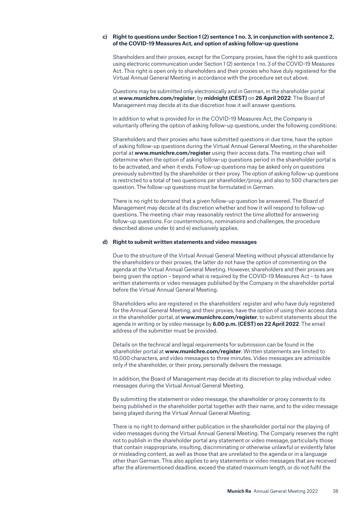### **c) Right to questions under Section 1 (2) sentence 1 no. 3, in conjunction with sentence 2, of the COVID-19 Measures Act, and option of asking follow-up questions**

Shareholders and their proxies, except for the Company proxies, have the right to ask questions using electronic communication under Section 1 (2) sentence 1 no. 3 of the COVID-19 Measures Act. This right is open only to shareholders and their proxies who have duly registered for the Virtual Annual General Meeting in accordance with the procedure set out above.

Questions may be submitted only electronically and in German, in the shareholder portal at **www.munichre.com/register**, by **midnight (CEST)** on **26 April 2022**. The Board of Management may decide at its due discretion how it will answer questions.

In addition to what is provided for in the COVID-19 Measures Act, the Company is voluntarily offering the option of asking follow-up questions, under the following conditions:

Shareholders and their proxies who have submitted questions in due time, have the option of asking follow-up questions during the Virtual Annual General Meeting, in the shareholder portal at **www.munichre.com/register** using their access data. The meeting chair will determine when the option of asking follow-up questions period in the shareholder portal is to be activated, and when it ends. Follow-up questions may be asked only on questions previously submitted by the shareholder or their proxy. The option of asking follow-up questions is restricted to a total of two questions per shareholder/proxy, and also to 500 characters per question. The follow-up questions must be formulated in German.

There is no right to demand that a given follow-up question be answered. The Board of Management may decide at its discretion whether and how it will respond to follow-up questions. The meeting chair may reasonably restrict the time allotted for answering follow-up questions. For countermotions, nominations and challenges, the procedure described above under b) and e) exclusively applies.

#### **d) Right to submit written statements and video messages**

Due to the structure of the Virtual Annual General Meeting without physical attendance by the shareholders or their proxies, the latter do not have the option of commenting on the agenda at the Virtual Annual General Meeting. However, shareholders and their proxies are being given the option – beyond what is required by the COVID-19 Measures Act – to have written statements or video messages published by the Company in the shareholder portal before the Virtual Annual General Meeting.

Shareholders who are registered in the shareholders' register and who have duly registered for the Annual General Meeting, and their proxies, have the option of using their access data in the shareholder portal, at **www.munichre.com/register**, to submit statements about the agenda in writing or by video message by **6.00 p.m. (CEST) on 22 April 2022**. The email address of the submitter must be provided.

Details on the technical and legal requirements for submission can be found in the shareholder portal at **www.munichre.com/register**. Written statements are limited to 10,000 characters, and video messages to three minutes. Video messages are admissible only if the shareholder, or their proxy, personally delivers the message.

In addition, the Board of Management may decide at its discretion to play individual video messages during the Virtual Annual General Meeting.

By submitting the statement or video message, the shareholder or proxy consents to its being published in the shareholder portal together with their name, and to the video message being played during the Virtual Annual General Meeting.

There is no right to demand either publication in the shareholder portal nor the playing of video messages during the Virtual Annual General Meeting. The Company reserves the right not to publish in the shareholder portal any statement or video message, particularly those that contain inappropriate, insulting, discriminating or otherwise unlawful or evidently false or misleading content, as well as those that are unrelated to the agenda or in a language other than German. This also applies to any statements or video messages that are received after the aforementioned deadline, exceed the stated maximum length, or do not fulfil the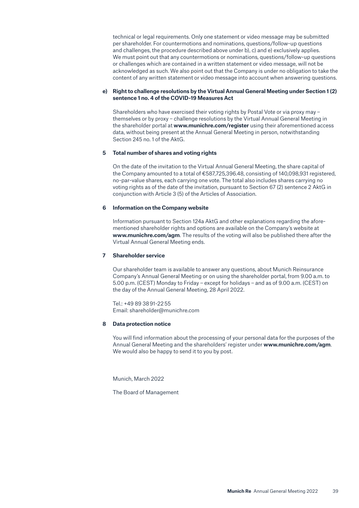<span id="page-38-0"></span>technical or legal requirements. Only one statement or video message may be submitted per shareholder. For countermotions and nominations, questions/follow-up questions and challenges, the procedure described above under b), c) and e) exclusively applies. We must point out that any countermotions or nominations, questions/follow-up questions or challenges which are contained in a written statement or video message, will not be acknowledged as such. We also point out that the Company is under no obligation to take the content of any written statement or video message into account when answering questions.

### **e) Right to challenge resolutions by the Virtual Annual General Meeting under Section 1 (2) sentence 1 no. 4 of the COVID-19 Measures Act**

Shareholders who have exercised their voting rights by Postal Vote or via proxy may – themselves or by proxy – challenge resolutions by the Virtual Annual General Meeting in the shareholder portal at **www.munichre.com/register** using their aforementioned access data, without being present at the Annual General Meeting in person, notwithstanding Section 245 no. 1 of the AktG.

### **5 Total number of shares and voting rights**

On the date of the invitation to the Virtual Annual General Meeting, the share capital of the Company amounted to a total of €587,725,396.48, consisting of 140,098,931 registered, no-par-value shares, each carrying one vote. The total also includes shares carrying no voting rights as of the date of the invitation, pursuant to Section 67 (2) sentence 2 AktG in conjunction with Article 3 (5) of the Articles of Association.

### **6 Information on the Company website**

Information pursuant to Section 124a AktG and other explanations regarding the aforementioned shareholder rights and options are available on the Company's website at **www.munichre.com/agm**. The results of the voting will also be published there after the Virtual Annual General Meeting ends.

### **7 Shareholder service**

Our shareholder team is available to answer any questions, about Munich Reinsurance Company's Annual General Meeting or on using the shareholder portal, from 9.00 a.m. to 5.00 p.m. (CEST) Monday to Friday – except for holidays – and as of 9.00 a.m. (CEST) on the day of the Annual General Meeting, 28 April 2022.

Tel.: +49 89 38 91-22 55 Email: shareholder@munichre.com

### **8 Data protection notice**

You will find information about the processing of your personal data for the purposes of the Annual General Meeting and the shareholders' register under **www.munichre.com/agm**. We would also be happy to send it to you by post.

Munich, March 2022

The Board of Management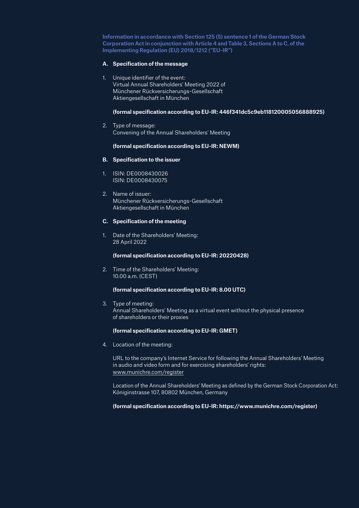**Information in accordance with Section 125 (5) sentence 1 of the German Stock Corporation Act in conjunction with Article 4 and Table 3, Sections A to C, of the Implementing Regulation (EU) 2018/1212 ("EU-IR")** 

### **A. Specification of the message**

1. Unique identifier of the event: Virtual Annual Shareholders' Meeting 2022 of Münchener Rückversicherungs-Gesellschaft Aktiengesellschaft in München

### **(formal specification according to EU-IR: 446f341dc5c9eb118120005056888925)**

2. Type of message: Convening of the Annual Shareholders' Meeting

### **(formal specification according to EU-IR: NEWM)**

### **B. Specification to the issuer**

- 1. ISIN: DE0008430026 ISIN: DE0008430075
- 2. Name of issuer: Münchener Rückversicherungs-Gesellschaft Aktiengesellschaft in München

### **C. Specification of the meeting**

1. Date of the Shareholders' Meeting: 28 April 2022

### **(formal specification according to EU-IR: 20220428)**

2. Time of the Shareholders' Meeting: 10.00 a.m. (CEST)

## **(formal specification according to EU-IR: 8.00 UTC)**

3. Type of meeting: Annual Shareholders' Meeting as a virtual event without the physical presence of shareholders or their proxies

### **(formal specification according to EU-IR: GMET)**

4. Location of the meeting:

URL to the company's Internet Service for following the Annual Shareholders' Meeting in audio and video form and for exercising shareholders' rights: [www.munichre.com/register](http://www.munichre.com/register)

Location of the Annual Shareholders' Meeting as defined by the German Stock Corporation Act: Königinstrasse 107, 80802 München, Germany

### **(formal specification according to EU-IR: https://www.munichre.com/register)**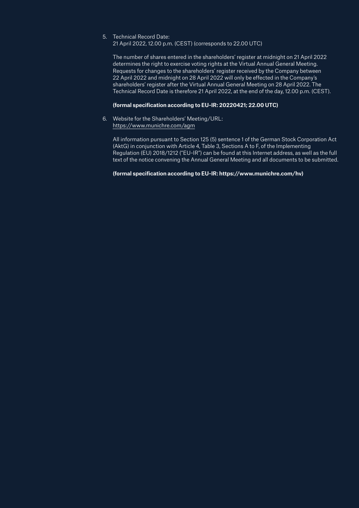# 5. Technical Record Date:

21 April 2022, 12.00 p.m. (CEST) (corresponds to 22.00 UTC)

The number of shares entered in the shareholders' register at midnight on 21 April 2022 determines the right to exercise voting rights at the Virtual Annual General Meeting. Requests for changes to the shareholders' register received by the Company between 22 April 2022 and midnight on 28 April 2022 will only be effected in the Company's shareholders' register after the Virtual Annual General Meeting on 28 April 2022. The Technical Record Date is therefore 21 April 2022, at the end of the day, 12.00 p.m. (CEST).

## **(formal specification according to EU-IR: 20220421; 22.00 UTC)**

6. Website for the Shareholders' Meeting/URL: [h](https://www.munichre.com/hv)ttps://www.munichre.com/agm

All information pursuant to Section 125 (5) sentence 1 of the German Stock Corporation Act (AktG) in conjunction with Article 4, Table 3, Sections A to F, of the Implementing Regulation (EU) 2018/1212 ("EU-IR") can be found at this Internet address, as well as the full text of the notice convening the Annual General Meeting and all documents to be submitted.

## **(formal specification according to EU-IR: https://www.munichre.com/hv)**